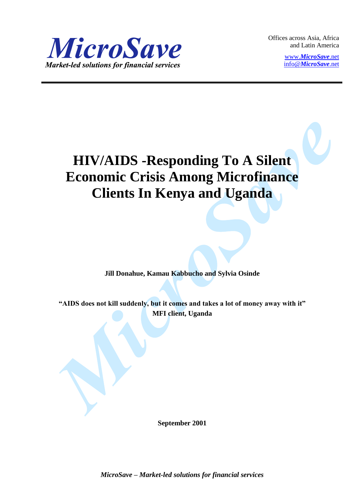

Offices across Asia, Africa and Latin America

> www.*[MicroSave](http://www.microsave.net/)*.net info@*[MicroSave](mailto:info@MicroSave.net)*.net

# **HIV/AIDS -Responding To A Silent Economic Crisis Among Microfinance Clients In Kenya and Uganda**

**Jill Donahue, Kamau Kabbucho and Sylvia Osinde**

**"AIDS does not kill suddenly, but it comes and takes a lot of money away with it" MFI client, Uganda**

**September 2001**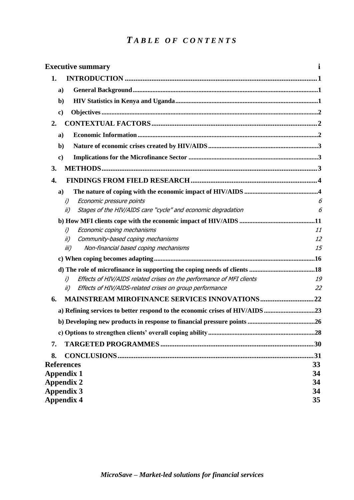# *T ABL E O F C O N T E N T S*

| <b>Executive summary</b>                                                     |    |
|------------------------------------------------------------------------------|----|
| 1.                                                                           |    |
| a)                                                                           |    |
| $\mathbf{b}$                                                                 |    |
| $\bf c)$                                                                     |    |
| 2.                                                                           |    |
| a)                                                                           |    |
| $\mathbf{b}$                                                                 |    |
| $\bf c)$                                                                     |    |
| 3.                                                                           |    |
| 4.                                                                           |    |
| $\mathbf{a}$                                                                 |    |
| Economic pressure points<br>i)                                               | 6  |
| Stages of the HIV/AIDS care "cycle" and economic degradation<br>ii)          | 6  |
|                                                                              |    |
| Economic coping mechanisms<br>i)                                             | 11 |
| Community-based coping mechanisms<br>ii)                                     | 12 |
| Non-financial based coping mechanisms<br>iii)                                | 15 |
|                                                                              |    |
|                                                                              |    |
| Effects of HIV/AIDS related crises on the performance of MFI clients<br>i)   | 19 |
| Effects of HIV/AIDS-related crises on group performance<br>ii)               | 22 |
| 6.                                                                           |    |
| a) Refining services to better respond to the economic crises of HIV/AIDS 23 |    |
|                                                                              |    |
|                                                                              |    |
| 7.                                                                           |    |
| 8.                                                                           |    |
| <b>References</b>                                                            | 33 |
| <b>Appendix 1</b>                                                            | 34 |
| <b>Appendix 2</b>                                                            | 34 |
| <b>Appendix 3</b>                                                            | 34 |
| <b>Appendix 4</b>                                                            | 35 |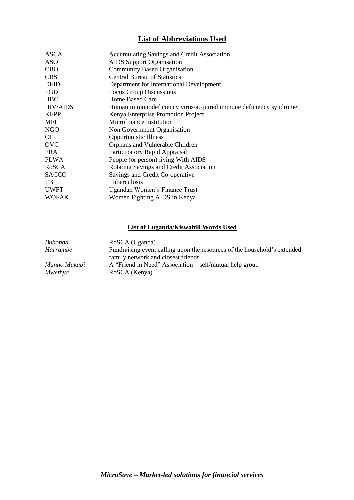# **List of Abbreviations Used**

| <b>ASCA</b>     | <b>Accumulating Savings and Credit Association</b>               |  |
|-----------------|------------------------------------------------------------------|--|
| <b>ASO</b>      | <b>AIDS</b> Support Organisation                                 |  |
| <b>CBO</b>      | <b>Community Based Organisation</b>                              |  |
| <b>CBS</b>      | <b>Central Bureau of Statistics</b>                              |  |
| <b>DFID</b>     | Department for International Development                         |  |
| FGD             | <b>Focus Group Discussions</b>                                   |  |
| <b>HBC</b>      | Home Based Care                                                  |  |
| <b>HIV/AIDS</b> | Human immunodeficiency virus/acquired immune deficiency syndrome |  |
| <b>KEPP</b>     | Kenya Enterprise Promotion Project                               |  |
| MFI             | Microfinance Institution                                         |  |
| <b>NGO</b>      | Non Government Organisation                                      |  |
| ОI              | <b>Opportunistic Illness</b>                                     |  |
| <b>OVC</b>      | Orphans and Vulnerable Children                                  |  |
| <b>PRA</b>      | Participatory Rapid Appraisal                                    |  |
| <b>PLWA</b>     | People (or person) living With AIDS                              |  |
| RoSCA           | Rotating Savings and Credit Association                          |  |
| <b>SACCO</b>    | Savings and Credit Co-operative                                  |  |
| TB              | Tuberculosis                                                     |  |
| <b>UWFT</b>     | Ugandan Women's Finance Trust                                    |  |
| <b>WOFAK</b>    | Women Fighting AIDS in Kenya                                     |  |
|                 |                                                                  |  |

# **List of Luganda/Kiswahili Words Used**

| Bubonda      | RoSCA (Uganda)                                                           |
|--------------|--------------------------------------------------------------------------|
| Harrambe     | Fundraising event calling upon the resources of the household's extended |
|              | family network and closest friends                                       |
| Munno Mukabi | A "Friend in Need" Association – self/mutual help group                  |
| Mwethya      | RoSCA (Kenya)                                                            |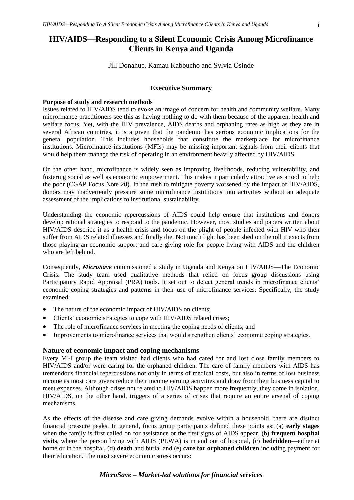# <span id="page-3-0"></span>**HIV/AIDS—Responding to a Silent Economic Crisis Among Microfinance Clients in Kenya and Uganda**

Jill Donahue, Kamau Kabbucho and Sylvia Osinde

#### **Executive Summary**

#### **Purpose of study and research methods**

Issues related to HIV/AIDS tend to evoke an image of concern for health and community welfare. Many microfinance practitioners see this as having nothing to do with them because of the apparent health and welfare focus. Yet, with the HIV prevalence, AIDS deaths and orphaning rates as high as they are in several African countries, it is a given that the pandemic has serious economic implications for the general population. This includes households that constitute the marketplace for microfinance institutions. Microfinance institutions (MFIs) may be missing important signals from their clients that would help them manage the risk of operating in an environment heavily affected by HIV/AIDS.

On the other hand, microfinance is widely seen as improving livelihoods, reducing vulnerability, and fostering social as well as economic empowerment. This makes it particularly attractive as a tool to help the poor (CGAP Focus Note 20). In the rush to mitigate poverty worsened by the impact of HIV/AIDS, donors may inadvertently pressure some microfinance institutions into activities without an adequate assessment of the implications to institutional sustainability.

Understanding the economic repercussions of AIDS could help ensure that institutions and donors develop rational strategies to respond to the pandemic. However, most studies and papers written about HIV/AIDS describe it as a health crisis and focus on the plight of people infected with HIV who then suffer from AIDS related illnesses and finally die. Not much light has been shed on the toll it exacts from those playing an economic support and care giving role for people living with AIDS and the children who are left behind.

Consequently, *MicroSave* commissioned a study in Uganda and Kenya on HIV/AIDS—The Economic Crisis. The study team used qualitative methods that relied on focus group discussions using Participatory Rapid Appraisal (PRA) tools. It set out to detect general trends in microfinance clients' economic coping strategies and patterns in their use of microfinance services. Specifically, the study examined:

- The nature of the economic impact of HIV/AIDS on clients;
- Clients' economic strategies to cope with HIV/AIDS related crises;
- The role of microfinance services in meeting the coping needs of clients; and
- Improvements to microfinance services that would strengthen clients' economic coping strategies.

## **Nature of economic impact and coping mechanisms**

Every MFI group the team visited had clients who had cared for and lost close family members to HIV/AIDS and/or were caring for the orphaned children. The care of family members with AIDS has tremendous financial repercussions not only in terms of medical costs, but also in terms of lost business income as most care givers reduce their income earning activities and draw from their business capital to meet expenses. Although crises not related to HIV/AIDS happen more frequently, they come in isolation. HIV/AIDS, on the other hand, triggers of a series of crises that require an entire arsenal of coping mechanisms.

As the effects of the disease and care giving demands evolve within a household, there are distinct financial pressure peaks. In general, focus group participants defined these points as: (a) **early stages** when the family is first called on for assistance or the first signs of AIDS appear, (b) **frequent hospital visits**, where the person living with AIDS (PLWA) is in and out of hospital, (c) **bedridden**—either at home or in the hospital, (d) **death** and burial and (e) **care for orphaned children** including payment for their education. The most severe economic stress occurs: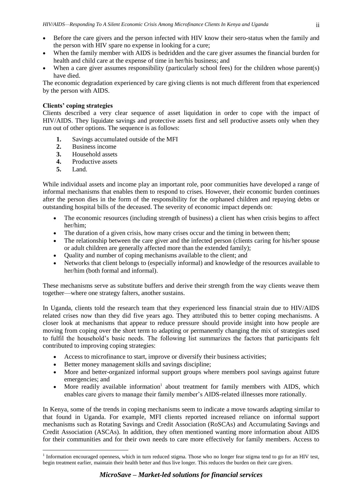- Before the care givers and the person infected with HIV know their sero-status when the family and the person with HIV spare no expense in looking for a cure;
- When the family member with AIDS is bedridden and the care giver assumes the financial burden for health and child care at the expense of time in her/his business; and
- When a care giver assumes responsibility (particularly school fees) for the children whose parent(s) have died.

The economic degradation experienced by care giving clients is not much different from that experienced by the person with AIDS.

# **Clients' coping strategies**

Clients described a very clear sequence of asset liquidation in order to cope with the impact of HIV/AIDS. They liquidate savings and protective assets first and sell productive assets only when they run out of other options. The sequence is as follows:

- **1.** Savings accumulated outside of the MFI
- **2.** Business income
- **3.** Household assets
- **4.** Productive assets
- **5.** Land.

-

While individual assets and income play an important role, poor communities have developed a range of informal mechanisms that enables them to respond to crises. However, their economic burden continues after the person dies in the form of the responsibility for the orphaned children and repaying debts or outstanding hospital bills of the deceased. The severity of economic impact depends on:

- The economic resources (including strength of business) a client has when crisis begins to affect her/him;
- The duration of a given crisis, how many crises occur and the timing in between them;
- The relationship between the care giver and the infected person (clients caring for his/her spouse or adult children are generally affected more than the extended family);
- Quality and number of coping mechanisms available to the client; and
- Networks that client belongs to (especially informal) and knowledge of the resources available to her/him (both formal and informal).

These mechanisms serve as substitute buffers and derive their strength from the way clients weave them together—where one strategy falters, another sustains.

In Uganda, clients told the research team that they experienced less financial strain due to HIV/AIDS related crises now than they did five years ago. They attributed this to better coping mechanisms. A closer look at mechanisms that appear to reduce pressure should provide insight into how people are moving from coping over the short term to adapting or permanently changing the mix of strategies used to fulfil the household's basic needs. The following list summarizes the factors that participants felt contributed to improving coping strategies:

- Access to microfinance to start, improve or diversify their business activities;
- Better money management skills and savings discipline;
- More and better-organized informal support groups where members pool savings against future emergencies; and
- More readily available information<sup>1</sup> about treatment for family members with AIDS, which enables care givers to manage their family member's AIDS-related illnesses more rationally.

In Kenya, some of the trends in coping mechanisms seem to indicate a move towards adapting similar to that found in Uganda. For example, MFI clients reported increased reliance on informal support mechanisms such as Rotating Savings and Credit Association (RoSCAs) and Accumulating Savings and Credit Association (ASCAs). In addition, they often mentioned wanting more information about AIDS for their communities and for their own needs to care more effectively for family members. Access to

<sup>&</sup>lt;sup>1</sup> Information encouraged openness, which in turn reduced stigma. Those who no longer fear stigma tend to go for an HIV test, begin treatment earlier, maintain their health better and thus live longer. This reduces the burden on their care givers.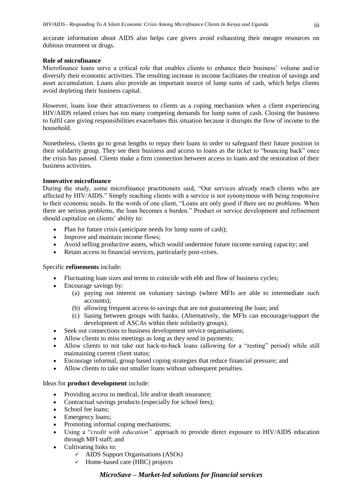accurate information about AIDS also helps care givers avoid exhausting their meagre resources on dubious treatment or drugs.

# **Role of microfinance**

Microfinance loans serve a critical role that enables clients to enhance their business' volume and/or diversify their economic activities. The resulting increase in income facilitates the creation of savings and asset accumulation. Loans also provide an important source of lump sums of cash, which helps clients avoid depleting their business capital.

However, loans lose their attractiveness to clients as a coping mechanism when a client experiencing HIV/AIDS related crises has too many competing demands for lump sums of cash. Closing the business to fulfil care giving responsibilities exacerbates this situation because it disrupts the flow of income to the household.

Nonetheless, clients go to great lengths to repay their loans in order to safeguard their future position in their solidarity group. They see their business and access to loans as the ticket to "bouncing back" once the crisis has passed. Clients make a firm connection between access to loans and the restoration of their business activities.

# **Innovative microfinance**

During the study, some microfinance practitioners said, "Our services already reach clients who are affected by HIV/AIDS." Simply reaching clients with a service is not synonymous with being responsive to their economic needs. In the words of one client, "Loans are only good if there are no problems. When there are serious problems, the loan becomes a burden." Product or service development and refinement should capitalize on clients' ability to:

- Plan for future crisis (anticipate needs for lump sums of cash);
- Improve and maintain income flows;
- Avoid selling productive assets, which would undermine future income earning capacity; and
- Retain access to financial services, particularly post-crises.

# Specific **refinements** include:

- Fluctuating loan sizes and terms to coincide with ebb and flow of business cycles;
- Encourage savings by:
	- (a) paying out interest on voluntary savings (where MFIs are able to intermediate such accounts);
	- (b) allowing frequent access to savings that are not guaranteeing the loan; and
	- (c) liasing between groups with banks. (Alternatively, the MFIs can encourage/support the development of ASCAs within their solidarity groups).
- Seek out connections to business development service organisations;
- Allow clients to miss meetings as long as they send in payments;
- Allow clients to not take out back-to-back loans (allowing for a "resting" period) while still maintaining current client status;
- Encourage informal, group based coping strategies that reduce financial pressure; and
- Allow clients to take out smaller loans without subsequent penalties.

# Ideas for **product development** include:

- Providing access to medical, life and/or death insurance;
- Contractual savings products (especially for school fees);
- School fee loans;
- Emergency loans;
- Promoting informal coping mechanisms;
- Using a "*credit with education"* approach to provide direct exposure to HIV/AIDS education through MFI staff; and
- Cultivating links to:
	- $\checkmark$  AIDS Support Organisations (ASOs)
	- $\checkmark$  Home-based care (HBC) projects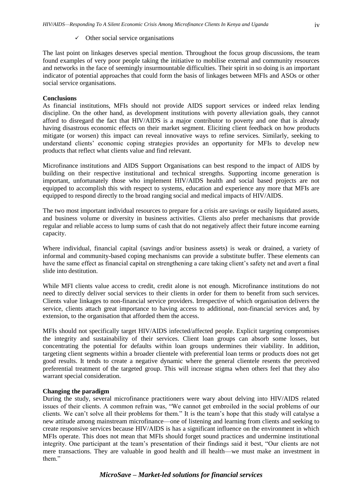$\checkmark$  Other social service organisations

The last point on linkages deserves special mention. Throughout the focus group discussions, the team found examples of very poor people taking the initiative to mobilise external and community resources and networks in the face of seemingly insurmountable difficulties. Their spirit in so doing is an important indicator of potential approaches that could form the basis of linkages between MFIs and ASOs or other social service organisations.

#### **Conclusions**

As financial institutions, MFIs should not provide AIDS support services or indeed relax lending discipline. On the other hand, as development institutions with poverty alleviation goals, they cannot afford to disregard the fact that HIV/AIDS is a major contributor to poverty and one that is already having disastrous economic effects on their market segment. Eliciting client feedback on how products mitigate (or worsen) this impact can reveal innovative ways to refine services. Similarly, seeking to understand clients' economic coping strategies provides an opportunity for MFIs to develop new products that reflect what clients value and find relevant.

Microfinance institutions and AIDS Support Organisations can best respond to the impact of AIDS by building on their respective institutional and technical strengths. Supporting income generation is important, unfortunately those who implement HIV/AIDS health and social based projects are not equipped to accomplish this with respect to systems, education and experience any more that MFIs are equipped to respond directly to the broad ranging social and medical impacts of HIV/AIDS.

The two most important individual resources to prepare for a crisis are savings or easily liquidated assets, and business volume or diversity in business activities. Clients also prefer mechanisms that provide regular and reliable access to lump sums of cash that do not negatively affect their future income earning capacity.

Where individual, financial capital (savings and/or business assets) is weak or drained, a variety of informal and community-based coping mechanisms can provide a substitute buffer. These elements can have the same effect as financial capital on strengthening a care taking client's safety net and avert a final slide into destitution.

While MFI clients value access to credit, credit alone is not enough. Microfinance institutions do not need to directly deliver social services to their clients in order for them to benefit from such services. Clients value linkages to non-financial service providers. Irrespective of which organisation delivers the service, clients attach great importance to having access to additional, non-financial services and, by extension, to the organisation that afforded them the access.

MFIs should not specifically target HIV/AIDS infected/affected people. Explicit targeting compromises the integrity and sustainability of their services. Client loan groups can absorb some losses, but concentrating the potential for defaults within loan groups undermines their viability. In addition, targeting client segments within a broader clientele with preferential loan terms or products does not get good results. It tends to create a negative dynamic where the general clientele resents the perceived preferential treatment of the targeted group. This will increase stigma when others feel that they also warrant special consideration.

#### **Changing the paradigm**

During the study, several microfinance practitioners were wary about delving into HIV/AIDS related issues of their clients. A common refrain was, "We cannot get embroiled in the social problems of our clients. We can't solve all their problems for them." It is the team's hope that this study will catalyse a new attitude among mainstream microfinance—one of listening and learning from clients and seeking to create responsive services because HIV/AIDS is has a significant influence on the environment in which MFIs operate. This does not mean that MFIs should forget sound practices and undermine institutional integrity. One participant at the team's presentation of their findings said it best, "Our clients are not mere transactions. They are valuable in good health and ill health—we must make an investment in them."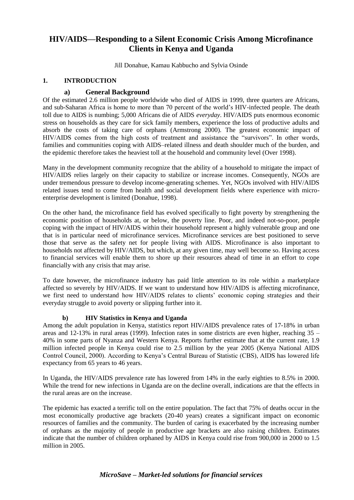# <span id="page-7-0"></span>**HIV/AIDS—Responding to a Silent Economic Crisis Among Microfinance Clients in Kenya and Uganda**

Jill Donahue, Kamau Kabbucho and Sylvia Osinde

# **1. INTRODUCTION**

# **a) General Background**

<span id="page-7-1"></span>Of the estimated 2.6 million people worldwide who died of AIDS in 1999, three quarters are Africans, and sub-Saharan Africa is home to more than 70 percent of the world's HIV-infected people. The death toll due to AIDS is numbing; 5,000 Africans die of AIDS *everyday*. HIV/AIDS puts enormous economic stress on households as they care for sick family members, experience the loss of productive adults and absorb the costs of taking care of orphans (Armstrong 2000). The greatest economic impact of HIV/AIDS comes from the high costs of treatment and assistance the "survivors". In other words, families and communities coping with AIDS–related illness and death shoulder much of the burden, and the epidemic therefore takes the heaviest toll at the household and community level (Over 1998).

Many in the development community recognize that the ability of a household to mitigate the impact of HIV/AIDS relies largely on their capacity to stabilize or increase incomes. Consequently, NGOs are under tremendous pressure to develop income-generating schemes. Yet, NGOs involved with HIV/AIDS related issues tend to come from health and social development fields where experience with microenterprise development is limited (Donahue, 1998).

On the other hand, the microfinance field has evolved specifically to fight poverty by strengthening the economic position of households at, or below, the poverty line. Poor, and indeed not-so-poor, people coping with the impact of HIV/AIDS within their household represent a highly vulnerable group and one that is in particular need of microfinance services. Microfinance services are best positioned to serve those that serve as the safety net for people living with AIDS. Microfinance is also important to households not affected by HIV/AIDS, but which, at any given time, may well become so. Having access to financial services will enable them to shore up their resources ahead of time in an effort to cope financially with any crisis that may arise.

To date however, the microfinance industry has paid little attention to its role within a marketplace affected so severely by HIV/AIDS. If we want to understand how HIV/AIDS is affecting microfinance, we first need to understand how HIV/AIDS relates to clients' economic coping strategies and their everyday struggle to avoid poverty or slipping further into it.

# <span id="page-7-2"></span>**b) HIV Statistics in Kenya and Uganda**

Among the adult population in Kenya, statistics report HIV/AIDS prevalence rates of 17-18% in urban areas and 12-13% in rural areas (1999). Infection rates in some districts are even higher, reaching 35 – 40% in some parts of Nyanza and Western Kenya. Reports further estimate that at the current rate, 1.9 million infected people in Kenya could rise to 2.5 million by the year 2005 (Kenya National AIDS Control Council, 2000). According to Kenya's Central Bureau of Statistic (CBS), AIDS has lowered life expectancy from 65 years to 46 years.

In Uganda, the HIV/AIDS prevalence rate has lowered from 14% in the early eighties to 8.5% in 2000. While the trend for new infections in Uganda are on the decline overall, indications are that the effects in the rural areas are on the increase.

The epidemic has exacted a terrific toll on the entire population. The fact that 75% of deaths occur in the most economically productive age brackets (20-40 years) creates a significant impact on economic resources of families and the community. The burden of caring is exacerbated by the increasing number of orphans as the majority of people in productive age brackets are also raising children. Estimates indicate that the number of children orphaned by AIDS in Kenya could rise from 900,000 in 2000 to 1.5 million in 2005.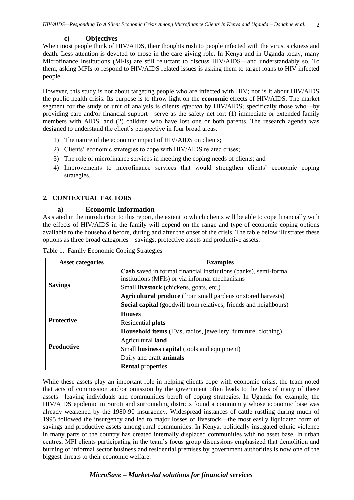#### **c) Objectives**

<span id="page-8-0"></span>When most people think of HIV/AIDS, their thoughts rush to people infected with the virus, sickness and death. Less attention is devoted to those in the care giving role. In Kenya and in Uganda today, many Microfinance Institutions (MFIs) are still reluctant to discuss HIV/AIDS—and understandably so. To them, asking MFIs to respond to HIV/AIDS related issues is asking them to target loans to HIV infected people.

However, this study is not about targeting people who are infected with HIV; nor is it about HIV/AIDS the public health crisis. Its purpose is to throw light on the **economic** effects of HIV/AIDS. The market segment for the study or unit of analysis is clients *affected* by HIV/AIDS; specifically those who—by providing care and/or financial support—serve as the safety net for: (1) immediate or extended family members with AIDS, and (2) children who have lost one or both parents. The research agenda was designed to understand the client's perspective in four broad areas:

- 1) The nature of the economic impact of HIV/AIDS on clients;
- 2) Clients' economic strategies to cope with HIV/AIDS related crises;
- 3) The role of microfinance services in meeting the coping needs of clients; and
- 4) Improvements to microfinance services that would strengthen clients' economic coping strategies.

#### <span id="page-8-1"></span>**2. CONTEXTUAL FACTORS**

#### <span id="page-8-2"></span>**a) Economic Information**

As stated in the introduction to this report, the extent to which clients will be able to cope financially with the effects of HIV/AIDS in the family will depend on the range and type of economic coping options available to the household before, during and after the onset of the crisis. The table below illustrates these options as three broad categories—savings, protective assets and productive assets.

| <b>Asset categories</b>                                                                                                                        | <b>Examples</b>                                                         |  |                          |
|------------------------------------------------------------------------------------------------------------------------------------------------|-------------------------------------------------------------------------|--|--------------------------|
|                                                                                                                                                | <b>Cash</b> saved in formal financial institutions (banks), semi-formal |  |                          |
|                                                                                                                                                | institutions (MFIs) or via informal mechanisms                          |  |                          |
| <b>Savings</b>                                                                                                                                 | Small livestock (chickens, goats, etc.)                                 |  |                          |
| <b>Agricultural produce</b> (from small gardens or stored harvests)<br><b>Social capital</b> (goodwill from relatives, friends and neighbours) |                                                                         |  |                          |
|                                                                                                                                                |                                                                         |  |                          |
| <b>Protective</b><br>Residential plots                                                                                                         |                                                                         |  |                          |
|                                                                                                                                                | <b>Household items</b> (TVs, radios, jewellery, furniture, clothing)    |  |                          |
|                                                                                                                                                | Agricultural land                                                       |  |                          |
| <b>Productive</b><br>Small business capital (tools and equipment)<br>Dairy and draft <b>animals</b>                                            |                                                                         |  |                          |
|                                                                                                                                                |                                                                         |  | <b>Rental properties</b> |

Table 1. Family Economic Coping Strategies

While these assets play an important role in helping clients cope with economic crisis, the team noted that acts of commission and/or omission by the government often leads to the loss of many of these assets—leaving individuals and communities bereft of coping strategies. In Uganda for example, the HIV/AIDS epidemic in Soroti and surrounding districts found a community whose economic base was already weakened by the 1980-90 insurgency. Widespread instances of cattle rustling during much of 1995 followed the insurgency and led to major losses of livestock—the most easily liquidated form of savings and productive assets among rural communities. In Kenya, politically instigated ethnic violence in many parts of the country has created internally displaced communities with no asset base. In urban centres, MFI clients participating in the team's focus group discussions emphasized that demolition and burning of informal sector business and residential premises by government authorities is now one of the biggest threats to their economic welfare.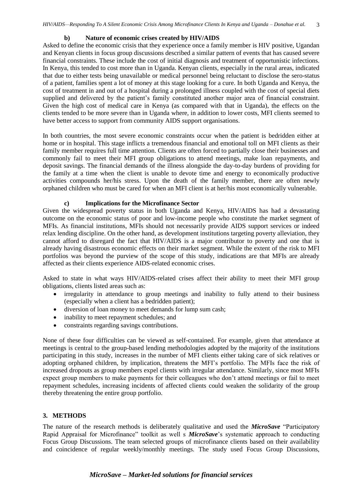#### **b) Nature of economic crises created by HIV/AIDS**

<span id="page-9-0"></span>Asked to define the economic crisis that they experience once a family member is HIV positive, Ugandan and Kenyan clients in focus group discussions described a similar pattern of events that has caused severe financial constraints. These include the cost of initial diagnosis and treatment of opportunistic infections. In Kenya, this tended to cost more than in Uganda. Kenyan clients, especially in the rural areas, indicated that due to either tests being unavailable or medical personnel being reluctant to disclose the sero-status of a patient, families spent a lot of money at this stage looking for a cure. In both Uganda and Kenya, the cost of treatment in and out of a hospital during a prolonged illness coupled with the cost of special diets supplied and delivered by the patient's family constituted another major area of financial constraint. Given the high cost of medical care in Kenya (as compared with that in Uganda), the effects on the clients tended to be more severe than in Uganda where, in addition to lower costs, MFI clients seemed to have better access to support from community AIDS support organisations.

In both countries, the most severe economic constraints occur when the patient is bedridden either at home or in hospital. This stage inflicts a tremendous financial and emotional toll on MFI clients as their family member requires full time attention. Clients are often forced to partially close their businesses and commonly fail to meet their MFI group obligations to attend meetings, make loan repayments, and deposit savings. The financial demands of the illness alongside the day-to-day burdens of providing for the family at a time when the client is unable to devote time and energy to economically productive activities compounds her/his stress. Upon the death of the family member, there are often newly orphaned children who must be cared for when an MFI client is at her/his most economically vulnerable.

#### **c) Implications for the Microfinance Sector**

<span id="page-9-1"></span>Given the widespread poverty status in both Uganda and Kenya, HIV/AIDS has had a devastating outcome on the economic status of poor and low-income people who constitute the market segment of MFIs. As financial institutions, MFIs should not necessarily provide AIDS support services or indeed relax lending discipline. On the other hand, as development institutions targeting poverty alleviation, they cannot afford to disregard the fact that HIV/AIDS is a major contributor to poverty and one that is already having disastrous economic effects on their market segment. While the extent of the risk to MFI portfolios was beyond the purview of the scope of this study, indications are that MFIs are already affected as their clients experience AIDS-related economic crises.

Asked to state in what ways HIV/AIDS-related crises affect their ability to meet their MFI group obligations, clients listed areas such as:

- irregularity in attendance to group meetings and inability to fully attend to their business (especially when a client has a bedridden patient);
- diversion of loan money to meet demands for lump sum cash;
- inability to meet repayment schedules; and
- constraints regarding savings contributions.

None of these four difficulties can be viewed as self-contained. For example, given that attendance at meetings is central to the group-based lending methodologies adopted by the majority of the institutions participating in this study, increases in the number of MFI clients either taking care of sick relatives or adopting orphaned children, by implication, threatens the MFI's portfolio. The MFIs face the risk of increased dropouts as group members expel clients with irregular attendance. Similarly, since most MFIs expect group members to make payments for their colleagues who don't attend meetings or fail to meet repayment schedules, increasing incidents of affected clients could weaken the solidarity of the group thereby threatening the entire group portfolio.

# <span id="page-9-2"></span>**3. METHODS**

The nature of the research methods is deliberately qualitative and used the *MicroSave* "Participatory Rapid Appraisal for Microfinance" toolkit as well s *MicroSave*'s systematic approach to conducting Focus Group Discussions. The team selected groups of microfinance clients based on their availability and coincidence of regular weekly/monthly meetings. The study used Focus Group Discussions,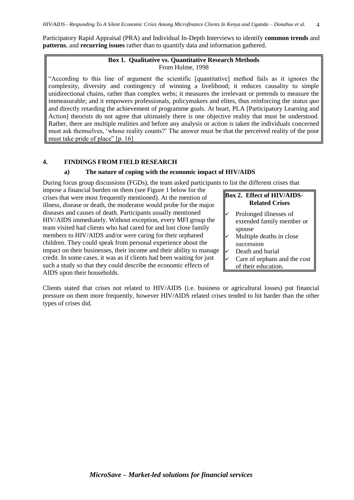Participatory Rapid Appraisal (PRA) and Individual In-Depth Interviews to identify **common trends** and **patterns**, and **recurring issues** rather than to quantify data and information gathered.

# **Box 1. Qualitative vs. Quantitative Research Methods** From Hulme, 1998

"According to this line of argument the scientific [quantitative] method fails as it ignores the complexity, diversity and contingency of winning a livelihood; it reduces causality to simple unidirectional chains, rather than complex webs; it measures the irrelevant or pretends to measure the immeasurable; and it empowers professionals, policymakers and elites, thus reinforcing the *status quo*  and directly retarding the achievement of programme goals. At heart, PLA [Participatory Learning and Action] theorists do not agree that ultimately there is one objective reality that must be understood. Rather, there are multiple realities and before any analysis or action is taken the individuals concerned must ask themselves, 'whose reality counts?' The answer must be that the perceived reality of the poor must take pride of place" [p. 16]

# <span id="page-10-0"></span>**4. FINDINGS FROM FIELD RESEARCH**

# **a) The nature of coping with the economic impact of HIV/AIDS**

<span id="page-10-1"></span>During focus group discussions (FGDs), the team asked participants to list the different crises that

impose a financial burden on them (see Figure 1 below for the crises that were most frequently mentioned). At the mention of illness, disease or death, the moderator would probe for the major diseases and causes of death. Participants usually mentioned HIV/AIDS immediately. Without exception, every MFI group the team visited had clients who had cared for and lost close family members to HIV/AIDS and/or were caring for their orphaned children. They could speak from personal experience about the impact on their businesses, their income and their ability to manage credit. In some cases, it was as if clients had been waiting for just such a study so that they could describe the economic effects of AIDS upon their households.

**Box 2. Effect of HIV/AIDS-Related Crises**

- Prolonged illnesses of extended family member or spouse
- Multiple deaths in close succession
- Death and burial
	- Care of orphans and the cost of their education.

Clients stated that crises not related to HIV/AIDS (i.e. business or agricultural losses) put financial pressure on them more frequently, however HIV/AIDS related crises tended to hit harder than the other types of crises did.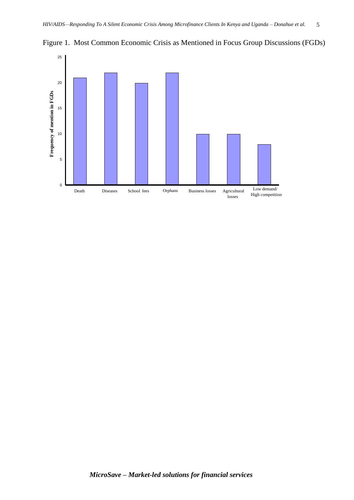

Figure 1. Most Common Economic Crisis as Mentioned in Focus Group Discussions (FGDs)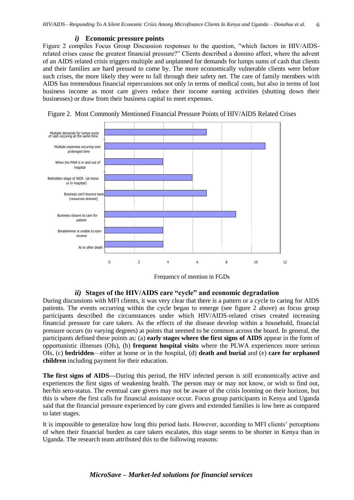#### *i)* **Economic pressure points**

<span id="page-12-0"></span>Figure 2 compiles Focus Group Discussion responses to the question, "which factors in HIV/AIDSrelated crises cause the greatest financial pressure?" Clients described a domino affect, where the advent of an AIDS related crisis triggers multiple and unplanned for demands for lumps sums of cash that clients and their families are hard pressed to come by. The more economically vulnerable clients were before such crises, the more likely they were to fall through their safety net. The care of family members with AIDS has tremendous financial repercussions not only in terms of medical costs, but also in terms of lost business income as most care givers reduce their income earning activities (shutting down their businesses) or draw from their business capital to meet expenses.



Figure 2. Most Commonly Mentioned Financial Pressure Points of HIV/AIDS Related Crises

Frequency of mention in FGDs

# *ii)* **Stages of the HIV/AIDS care "cycle" and economic degradation**

<span id="page-12-1"></span>During discussions with MFI clients, it was very clear that there is a pattern or a cycle to caring for AIDS patients. The events occurring within the cycle began to emerge (see figure 2 above) as focus group participants described the circumstances under which HIV/AIDS-related crises created increasing financial pressure for care takers. As the effects of the disease develop within a household, financial pressure occurs (to varying degrees) at points that seemed to be common across the board. In general, the participants defined these points as: (a) **early stages where the first signs of AIDS** appear in the form of opportunistic illnesses (OIs), (b) **frequent hospital visits** where the PLWA experiences more serious OIs, (c) **bedridden**—either at home or in the hospital, (d) **death and burial** and (e) **care for orphaned children** including payment for their education.

**The first signs of AIDS—**During this period, the HIV infected person is still economically active and experiences the first signs of weakening health. The person may or may not know, or wish to find out, her/his sero-status. The eventual care givers may not be aware of the crisis looming on their horizon, but this is where the first calls for financial assistance occur. Focus group participants in Kenya and Uganda said that the financial pressure experienced by care givers and extended families is low here as compared to later stages.

It is impossible to generalize how long this period lasts. However, according to MFI clients' perceptions of when their financial burden as care takers escalates, this stage seems to be shorter in Kenya than in Uganda. The research team attributed this to the following reasons: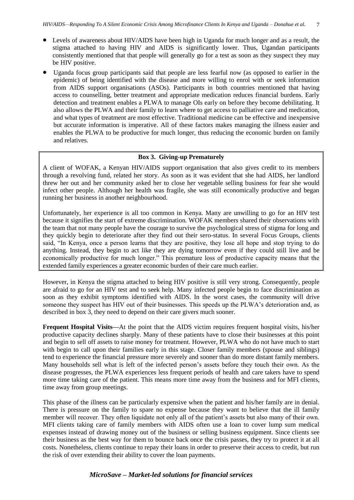- Levels of awareness about HIV/AIDS have been high in Uganda for much longer and as a result, the stigma attached to having HIV and AIDS is significantly lower. Thus, Ugandan participants consistently mentioned that that people will generally go for a test as soon as they suspect they may be HIV positive.
- Uganda focus group participants said that people are less fearful now (as opposed to earlier in the epidemic) of being identified with the disease and more willing to enrol with or seek information from AIDS support organisations (ASOs). Participants in both countries mentioned that having access to counselling, better treatment and appropriate medication reduces financial burdens. Early detection and treatment enables a PLWA to manage OIs early on before they become debilitating. It also allows the PLWA and their family to learn where to get access to palliative care and medication, and what types of treatment are most effective. Traditional medicine can be effective and inexpensive but accurate information is imperative. All of these factors makes managing the illness easier and enables the PLWA to be productive for much longer, thus reducing the economic burden on family and relatives.

# **Box 3. Giving-up Prematurely**

A client of WOFAK, a Kenyan HIV/AIDS support organisation that also gives credit to its members through a revolving fund, related her story. As soon as it was evident that she had AIDS, her landlord threw her out and her community asked her to close her vegetable selling business for fear she would infect other people. Although her health was fragile, she was still economically productive and began running her business in another neighbourhood.

Unfortunately, her experience is all too common in Kenya. Many are unwilling to go for an HIV test because it signifies the start of extreme discrimination. WOFAK members shared their observations with the team that not many people have the courage to survive the psychological stress of stigma for long and they quickly begin to deteriorate after they find out their sero-status. In several Focus Groups, clients said, "In Kenya, once a person learns that they are positive, they lose all hope and stop trying to do anything. Instead, they begin to act like they are dying tomorrow even if they could still live and be economically productive for much longer." This premature loss of productive capacity means that the extended family experiences a greater economic burden of their care much earlier.

However, in Kenya the stigma attached to being HIV positive is still very strong. Consequently, people are afraid to go for an HIV test and to seek help. Many infected people begin to face discrimination as soon as they exhibit symptoms identified with AIDS. In the worst cases, the community will drive someone they suspect has HIV out of their businesses. This speeds up the PLWA's deterioration and, as described in box 3, they need to depend on their care givers much sooner.

**Frequent Hospital Visits—**At the point that the AIDS victim requires frequent hospital visits, his/her productive capacity declines sharply. Many of these patients have to close their businesses at this point and begin to sell off assets to raise money for treatment. However, PLWA who do not have much to start with begin to call upon their families early in this stage. Closer family members (spouse and siblings) tend to experience the financial pressure more severely and sooner than do more distant family members. Many households sell what is left of the infected person's assets before they touch their own. As the disease progresses, the PLWA experiences less frequent periods of health and care takers have to spend more time taking care of the patient. This means more time away from the business and for MFI clients, time away from group meetings.

This phase of the illness can be particularly expensive when the patient and his/her family are in denial. There is pressure on the family to spare no expense because they want to believe that the ill family member will recover. They often liquidate not only all of the patient's assets but also many of their own. MFI clients taking care of family members with AIDS often use a loan to cover lump sum medical expenses instead of drawing money out of the business or selling business equipment. Since clients see their business as the best way for them to bounce back once the crisis passes, they try to protect it at all costs. Nonetheless, clients continue to repay their loans in order to preserve their access to credit, but run the risk of over extending their ability to cover the loan payments.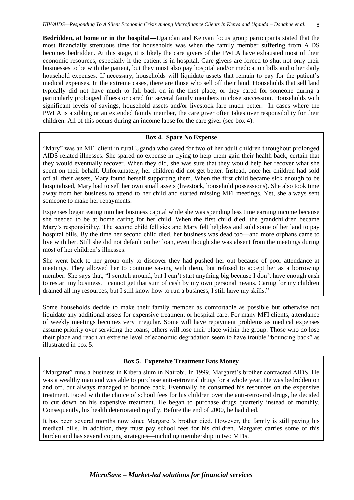**Bedridden, at home or in the hospital—**Ugandan and Kenyan focus group participants stated that the most financially strenuous time for households was when the family member suffering from AIDS becomes bedridden. At this stage, it is likely the care givers of the PWLA have exhausted most of their economic resources, especially if the patient is in hospital. Care givers are forced to shut not only their businesses to be with the patient, but they must also pay hospital and/or medication bills and other daily household expenses. If necessary, households will liquidate assets that remain to pay for the patient's medical expenses. In the extreme cases, there are those who sell off their land. Households that sell land typically did not have much to fall back on in the first place, or they cared for someone during a particularly prolonged illness or cared for several family members in close succession. Households with significant levels of savings, household assets and/or livestock fare much better. In cases where the PWLA is a sibling or an extended family member, the care giver often takes over responsibility for their children. All of this occurs during an income lapse for the care giver (see box 4).

# **Box 4. Spare No Expense**

"Mary" was an MFI client in rural Uganda who cared for two of her adult children throughout prolonged AIDS related illnesses. She spared no expense in trying to help them gain their health back, certain that they would eventually recover. When they did, she was sure that they would help her recover what she spent on their behalf. Unfortunately, her children did not get better. Instead, once her children had sold off all their assets, Mary found herself supporting them. When the first child became sick enough to be hospitalised, Mary had to sell her own small assets (livestock, household possessions). She also took time away from her business to attend to her child and started missing MFI meetings. Yet, she always sent someone to make her repayments.

Expenses began eating into her business capital while she was spending less time earning income because she needed to be at home caring for her child. When the first child died, the grandchildren became Mary's responsibility. The second child fell sick and Mary felt helpless and sold some of her land to pay hospital bills. By the time her second child died, her business was dead too—and more orphans came to live with her. Still she did not default on her loan, even though she was absent from the meetings during most of her children's illnesses.

She went back to her group only to discover they had pushed her out because of poor attendance at meetings. They allowed her to continue saving with them, but refused to accept her as a borrowing member. She says that, "I scratch around, but I can't start anything big because I don't have enough cash to restart my business. I cannot get that sum of cash by my own personal means. Caring for my children drained all my resources, but I still know how to run a business, I still have my skills."

Some households decide to make their family member as comfortable as possible but otherwise not liquidate any additional assets for expensive treatment or hospital care. For many MFI clients, attendance of weekly meetings becomes very irregular. Some will have repayment problems as medical expenses assume priority over servicing the loans; others will lose their place within the group. Those who do lose their place and reach an extreme level of economic degradation seem to have trouble "bouncing back" as illustrated in box 5.

# **Box 5. Expensive Treatment Eats Money**

"Margaret" runs a business in Kibera slum in Nairobi. In 1999, Margaret's brother contracted AIDS. He was a wealthy man and was able to purchase anti-retroviral drugs for a whole year. He was bedridden on and off, but always managed to bounce back. Eventually he consumed his resources on the expensive treatment. Faced with the choice of school fees for his children over the anti-retroviral drugs, he decided to cut down on his expensive treatment. He began to purchase drugs quarterly instead of monthly. Consequently, his health deteriorated rapidly. Before the end of 2000, he had died.

It has been several months now since Margaret's brother died. However, the family is still paying his medical bills. In addition, they must pay school fees for his children. Margaret carries some of this burden and has several coping strategies—including membership in two MFIs.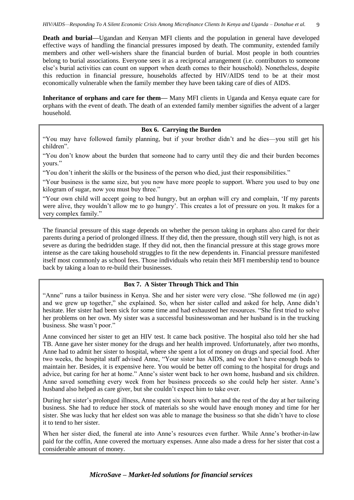**Death and burial—**Ugandan and Kenyan MFI clients and the population in general have developed effective ways of handling the financial pressures imposed by death. The community, extended family members and other well-wishers share the financial burden of burial. Most people in both countries belong to burial associations. Everyone sees it as a reciprocal arrangement (i.e. contributors to someone else's burial activities can count on support when death comes to their household). Nonetheless, despite this reduction in financial pressure, households affected by HIV/AIDS tend to be at their most economically vulnerable when the family member they have been taking care of dies of AIDS.

**Inheritance of orphans and care for them—** Many MFI clients in Uganda and Kenya equate care for orphans with the event of death. The death of an extended family member signifies the advent of a larger household.

# **Box 6. Carrying the Burden**

"You may have followed family planning, but if your brother didn't and he dies—you still get his children".

"You don't know about the burden that someone had to carry until they die and their burden becomes yours."

"You don't inherit the skills or the business of the person who died, just their responsibilities."

"Your business is the same size, but you now have more people to support. Where you used to buy one kilogram of sugar, now you must buy three."

"Your own child will accept going to bed hungry, but an orphan will cry and complain, 'If my parents were alive, they wouldn't allow me to go hungry'. This creates a lot of pressure on you. It makes for a very complex family."

The financial pressure of this stage depends on whether the person taking in orphans also cared for their parents during a period of prolonged illness. If they did, then the pressure, though still very high, is not as severe as during the bedridden stage. If they did not, then the financial pressure at this stage grows more intense as the care taking household struggles to fit the new dependents in. Financial pressure manifested itself most commonly as school fees. Those individuals who retain their MFI membership tend to bounce back by taking a loan to re-build their businesses.

# **Box 7. A Sister Through Thick and Thin**

"Anne" runs a tailor business in Kenya. She and her sister were very close. "She followed me (in age) and we grew up together," she explained. So, when her sister called and asked for help, Anne didn't hesitate. Her sister had been sick for some time and had exhausted her resources. "She first tried to solve her problems on her own. My sister was a successful businesswoman and her husband is in the trucking business. She wasn't poor."

Anne convinced her sister to get an HIV test. It came back positive. The hospital also told her she had TB. Anne gave her sister money for the drugs and her health improved. Unfortunately, after two months, Anne had to admit her sister to hospital, where she spent a lot of money on drugs and special food. After two weeks, the hospital staff advised Anne, "Your sister has AIDS, and we don't have enough beds to maintain her. Besides, it is expensive here. You would be better off coming to the hospital for drugs and advice, but caring for her at home." Anne's sister went back to her own home, husband and six children. Anne saved something every week from her business proceeds so she could help her sister. Anne's husband also helped as care giver, but she couldn't expect him to take over.

During her sister's prolonged illness, Anne spent six hours with her and the rest of the day at her tailoring business. She had to reduce her stock of materials so she would have enough money and time for her sister. She was lucky that her eldest son was able to manage the business so that she didn't have to close it to tend to her sister.

When her sister died, the funeral ate into Anne's resources even further. While Anne's brother-in-law paid for the coffin, Anne covered the mortuary expenses. Anne also made a dress for her sister that cost a considerable amount of money.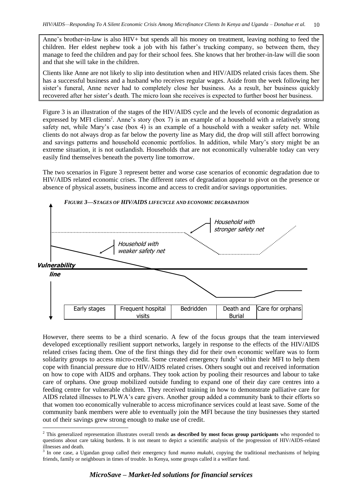Anne's brother-in-law is also HIV+ but spends all his money on treatment, leaving nothing to feed the children. Her eldest nephew took a job with his father's trucking company, so between them, they manage to feed the children and pay for their school fees. She knows that her brother-in-law will die soon and that she will take in the children.

Clients like Anne are not likely to slip into destitution when and HIV/AIDS related crisis faces them. She has a successful business and a husband who receives regular wages. Aside from the week following her sister's funeral, Anne never had to completely close her business. As a result, her business quickly recovered after her sister's death. The micro loan she receives is expected to further boost her business.

Figure 3 is an illustration of the stages of the HIV/AIDS cycle and the levels of economic degradation as expressed by MFI clients<sup>2</sup>. Anne's story (box 7) is an example of a household with a relatively strong safety net, while Mary's case (box 4) is an example of a household with a weaker safety net. While clients do not always drop as far below the poverty line as Mary did, the drop will still affect borrowing and savings patterns and household economic portfolios. In addition, while Mary's story might be an extreme situation, it is not outlandish. Households that are not economically vulnerable today can very easily find themselves beneath the poverty line tomorrow.

The two scenarios in Figure 3 represent better and worse case scenarios of economic degradation due to HIV/AIDS related economic crises. The different rates of degradation appear to pivot on the presence or absence of physical assets, business income and access to credit and/or savings opportunities.



However, there seems to be a third scenario. A few of the focus groups that the team interviewed developed exceptionally resilient support networks, largely in response to the effects of the HIV/AIDS related crises facing them. One of the first things they did for their own economic welfare was to form solidarity groups to access micro-credit. Some created emergency funds<sup>3</sup> within their MFI to help them cope with financial pressure due to HIV/AIDS related crises. Others sought out and received information on how to cope with AIDS and orphans. They took action by pooling their resources and labour to take care of orphans. One group mobilized outside funding to expand one of their day care centres into a feeding centre for vulnerable children. They received training in how to demonstrate palliative care for AIDS related illnesses to PLWA's care givers. Another group added a community bank to their efforts so that women too economically vulnerable to access microfinance services could at least save. Some of the community bank members were able to eventually join the MFI because the tiny businesses they started out of their savings grew strong enough to make use of credit.

-

<sup>2</sup> This generalized representation illustrates overall trends **as described by most focus group participants** who responded to questions about care taking burdens. It is not meant to depict a scientific analysis of the progression of HIV/AIDS-related illnesses and death.

<sup>3</sup> In one case, a Ugandan group called their emergency fund *munno mukabi*, copying the traditional mechanisms of helping friends, family or neighbours in times of trouble. In Kenya, some groups called it a welfare fund.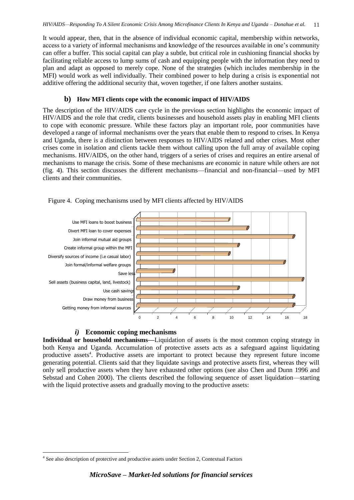It would appear, then, that in the absence of individual economic capital, membership within networks, access to a variety of informal mechanisms and knowledge of the resources available in one's community can offer a buffer. This social capital can play a subtle, but critical role in cushioning financial shocks by facilitating reliable access to lump sums of cash and equipping people with the information they need to plan and adapt as opposed to merely cope. None of the strategies (which includes membership in the MFI) would work as well individually. Their combined power to help during a crisis is exponential not additive offering the additional security that, woven together, if one falters another sustains.

#### <span id="page-17-0"></span>**b) How MFI clients cope with the economic impact of HIV/AIDS**

The description of the HIV/AIDS care cycle in the previous section highlights the economic impact of HIV/AIDS and the role that credit, clients businesses and household assets play in enabling MFI clients to cope with economic pressure. While these factors play an important role, poor communities have developed a range of informal mechanisms over the years that enable them to respond to crises. In Kenya and Uganda, there is a distinction between responses to HIV/AIDS related and other crises. Most other crises come in isolation and clients tackle them without calling upon the full array of available coping mechanisms. HIV/AIDS, on the other hand, triggers of a series of crises and requires an entire arsenal of mechanisms to manage the crisis. Some of these mechanisms are economic in nature while others are not (fig. 4). This section discusses the different mechanisms—financial and non-financial—used by MFI clients and their communities.



Figure 4. Coping mechanisms used by MFI clients affected by HIV/AIDS

# *i)* **Economic coping mechanisms**

<span id="page-17-1"></span>**Individual or household mechanisms—**Liquidation of assets is the most common coping strategy in both Kenya and Uganda. Accumulation of protective assets acts as a safeguard against liquidating productive assets<sup>4</sup>. Productive assets are important to protect because they represent future income generating potential. Clients said that they liquidate savings and protective assets first, whereas they will only sell productive assets when they have exhausted other options (see also Chen and Dunn 1996 and Sebstad and Cohen 2000). The clients described the following sequence of asset liquidation—starting with the liquid protective assets and gradually moving to the productive assets:

-

<sup>&</sup>lt;sup>4</sup> See also description of protective and productive assets under Section 2, Contextual Factors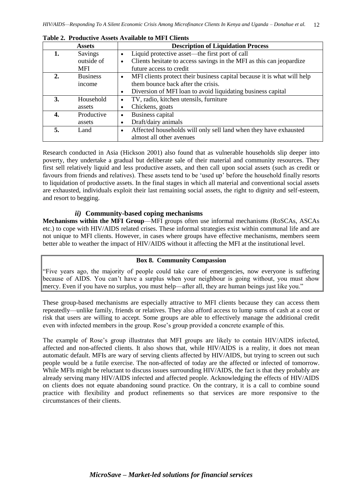|    | <b>Assets</b>   | <b>Description of Liquidation Process</b>                                            |
|----|-----------------|--------------------------------------------------------------------------------------|
|    | Savings         | Liquid protective asset—the first port of call<br>$\bullet$                          |
|    | outside of      | Clients hesitate to access savings in the MFI as this can jeopardize<br>٠            |
|    | <b>MFI</b>      | future access to credit                                                              |
| 2. | <b>Business</b> | MFI clients protect their business capital because it is what will help<br>$\bullet$ |
|    | income          | them bounce back after the crisis.                                                   |
|    |                 | Diversion of MFI loan to avoid liquidating business capital<br>$\bullet$             |
| 3. | Household       | TV, radio, kitchen utensils, furniture<br>$\bullet$                                  |
|    | assets          | Chickens, goats<br>٠                                                                 |
| 4. | Productive      | Business capital<br>$\bullet$                                                        |
|    | assets          | Draft/dairy animals<br>٠                                                             |
| 5. | Land            | Affected households will only sell land when they have exhausted<br>$\bullet$        |
|    |                 | almost all other avenues                                                             |

**Table 2. Productive Assets Available to MFI Clients**

Research conducted in Asia (Hickson 2001) also found that as vulnerable households slip deeper into poverty, they undertake a gradual but deliberate sale of their material and community resources. They first sell relatively liquid and less productive assets, and then call upon social assets (such as credit or favours from friends and relatives). These assets tend to be 'used up' before the household finally resorts to liquidation of productive assets. In the final stages in which all material and conventional social assets are exhausted, individuals exploit their last remaining social assets, the right to dignity and self-esteem, and resort to begging.

# *ii)* **Community-based coping mechanisms**

<span id="page-18-0"></span>**Mechanisms within the MFI Group**—MFI groups often use informal mechanisms (RoSCAs, ASCAs etc.) to cope with HIV/AIDS related crises. These informal strategies exist within communal life and are not unique to MFI clients. However, in cases where groups have effective mechanisms, members seem better able to weather the impact of HIV/AIDS without it affecting the MFI at the institutional level.

# **Box 8. Community Compassion**

"Five years ago, the majority of people could take care of emergencies, now everyone is suffering because of AIDS. You can't have a surplus when your neighbour is going without, you must show mercy. Even if you have no surplus, you must help—after all, they are human beings just like you."

These group-based mechanisms are especially attractive to MFI clients because they can access them repeatedly—unlike family, friends or relatives. They also afford access to lump sums of cash at a cost or risk that users are willing to accept. Some groups are able to effectively manage the additional credit even with infected members in the group. Rose's group provided a concrete example of this.

The example of Rose's group illustrates that MFI groups are likely to contain HIV/AIDS infected, affected and non-affected clients. It also shows that, while HIV/AIDS is a reality, it does not mean automatic default. MFIs are wary of serving clients affected by HIV/AIDS, but trying to screen out such people would be a futile exercise. The non-affected of today are the affected or infected of tomorrow. While MFIs might be reluctant to discuss issues surrounding HIV/AIDS, the fact is that they probably are already serving many HIV/AIDS infected and affected people. Acknowledging the effects of HIV/AIDS on clients does not equate abandoning sound practice. On the contrary, it is a call to combine sound practice with flexibility and product refinements so that services are more responsive to the circumstances of their clients.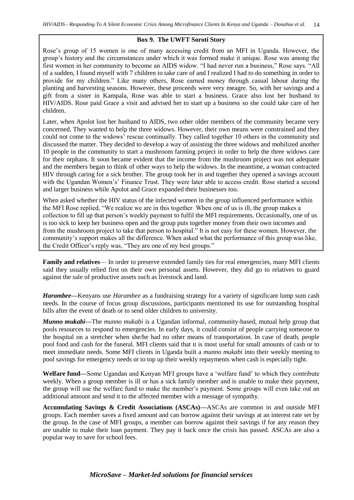#### **Box 9. The UWFT Soroti Story**

Rose's group of 15 women is one of many accessing credit from an MFI in Uganda. However, the group's history and the circumstances under which it was formed make it unique. Rose was among the first women in her community to become an AIDS widow. "I had never run a business," Rose says. "All of a sudden, I found myself with 7 children to take care of and I realized I had to do something in order to provide for my children." Like many others, Rose earned money through casual labour during the planting and harvesting seasons. However, these proceeds were very meagre. So, with her savings and a gift from a sister in Kampala, Rose was able to start a business. Grace also lost her husband to HIV/AIDS. Rose paid Grace a visit and advised her to start up a business so she could take care of her children.

Later, when Apolot lost her husband to AIDS, two other older members of the community became very concerned. They wanted to help the three widows. However, their own means were constrained and they could not come to the widows' rescue continually. They called together 10 others in the community and discussed the matter. They decided to develop a way of assisting the three widows and mobilized another 10 people in the community to start a mushroom farming project in order to help the three widows care for their orphans. It soon became evident that the income from the mushroom project was not adequate and the members began to think of other ways to help the widows. In the meantime, a woman contracted HIV through caring for a sick brother. The group took her in and together they opened a savings account with the Ugandan Women's' Finance Trust. They were later able to access credit. Rose started a second and larger business while Apolot and Grace expanded their businesses too.

When asked whether the HIV status of the infected women in the group influenced performance within the MFI Rose replied, "We realize we are in this together. When one of us is ill, the group makes a collection to fill up that person's weekly payment to fulfil the MFI requirements. Occasionally, one of us is too sick to keep her business open and the group puts together money from their own incomes and from the mushroom project to take that person to hospital." It is not easy for these women. However, the community's support makes all the difference. When asked what the performance of this group was like, the Credit Officer's reply was, "They are one of my best groups."

**Family and relatives**— In order to preserve extended family ties for real emergencies, many MFI clients said they usually relied first on their own personal assets. However, they did go to relatives to guard against the sale of productive assets such as livestock and land.

*Harambee***—**Kenyans use *Harambee* as a fundraising strategy for a variety of significant lump sum cash needs. In the course of focus group discussions, participants mentioned its use for outstanding hospital bills after the event of death or to send older children to university.

*Munno mukabi***—**The *munno mukabi* is a Ugandan informal, community-based, mutual help group that pools resources to respond to emergencies. In early days, it could consist of people carrying someone to the hospital on a stretcher when she/he had no other means of transportation. In case of death, people pool food and cash for the funeral. MFI clients said that it is most useful for small amounts of cash or to meet immediate needs. Some MFI clients in Uganda built a *munno mukabi* into their weekly meeting to pool savings for emergency needs or to top up their weekly repayments when cash is especially tight.

**Welfare fund—**Some Ugandan and Kenyan MFI groups have a 'welfare fund' to which they contribute weekly. When a group member is ill or has a sick family member and is unable to make their payment, the group will use the welfare fund to make the member's payment. Some groups will even take out an additional amount and send it to the affected member with a message of sympathy.

**Accumulating Savings & Credit Associations (ASCAs)—**ASCAs are common in and outside MFI groups. Each member saves a fixed amount and can borrow against their savings at an interest rate set by the group. In the case of MFI groups, a member can borrow against their savings if for any reason they are unable to make their loan payment. They pay it back once the crisis has passed. ASCAs are also a popular way to save for school fees.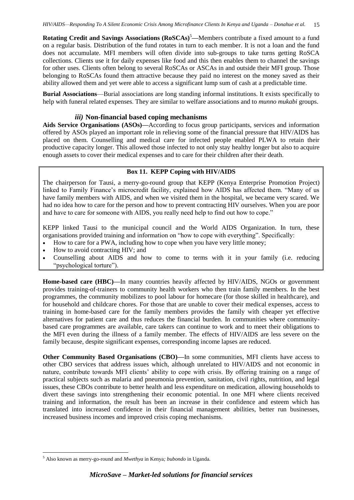**Rotating Credit and Savings Associations (RoSCAs)<sup>5</sup>—Members contribute a fixed amount to a fund** on a regular basis. Distribution of the fund rotates in turn to each member. It is not a loan and the fund does not accumulate. MFI members will often divide into sub-groups to take turns getting RoSCA collections. Clients use it for daily expenses like food and this then enables them to channel the savings for other uses. Clients often belong to several RoSCAs or ASCAs in and outside their MFI group. Those belonging to RoSCAs found them attractive because they paid no interest on the money saved as their ability allowed them and yet were able to access a significant lump sum of cash at a predictable time.

**Burial Associations**—Burial associations are long standing informal institutions. It exists specifically to help with funeral related expenses. They are similar to welfare associations and to *munno mukabi* groups.

### *iii)* **Non-financial based coping mechanisms**

<span id="page-21-0"></span>**Aids Service Organisations (ASOs)—**According to focus group participants, services and information offered by ASOs played an important role in relieving some of the financial pressure that HIV/AIDS has placed on them. Counselling and medical care for infected people enabled PLWA to retain their productive capacity longer. This allowed those infected to not only stay healthy longer but also to acquire enough assets to cover their medical expenses and to care for their children after their death.

#### **Box 11. KEPP Coping with HIV/AIDS**

The chairperson for Tausi, a merry-go-round group that KEPP (Kenya Enterprise Promotion Project) linked to Family Finance's microcredit facility, explained how AIDS has affected them. "Many of us have family members with AIDS, and when we visited them in the hospital, we became very scared. We had no idea how to care for the person and how to prevent contracting HIV ourselves. When you are poor and have to care for someone with AIDS, you really need help to find out how to cope."

KEPP linked Tausi to the municipal council and the World AIDS Organization. In turn, these organisations provided training and information on "how to cope with everything". Specifically:

- How to care for a PWA, including how to cope when you have very little money;
- How to avoid contracting HIV; and
- Counselling about AIDS and how to come to terms with it in your family (i.e. reducing "psychological torture").

**Home-based care (HBC)—**In many countries heavily affected by HIV/AIDS, NGOs or government provides training-of-trainers to community health workers who then train family members. In the best programmes, the community mobilizes to pool labour for homecare (for those skilled in healthcare), and for household and childcare chores. For those that are unable to cover their medical expenses, access to training in home-based care for the family members provides the family with cheaper yet effective alternatives for patient care and thus reduces the financial burden. In communities where communitybased care programmes are available, care takers can continue to work and to meet their obligations to the MFI even during the illness of a family member. The effects of HIV/AIDS are less severe on the family because, despite significant expenses, corresponding income lapses are reduced.

**Other Community Based Organisations (CBO)—In some communities, MFI clients have access to** other CBO services that address issues which, although unrelated to HIV/AIDS and not economic in nature, contribute towards MFI clients' ability to cope with crisis. By offering training on a range of practical subjects such as malaria and pneumonia prevention, sanitation, civil rights, nutrition, and legal issues, these CBOs contribute to better health and less expenditure on medication, allowing households to divert these savings into strengthening their economic potential. In one MFI where clients received training and information, the result has been an increase in their confidence and esteem which has translated into increased confidence in their financial management abilities, better run businesses, increased business incomes and improved crisis coping mechanisms.

<sup>-</sup><sup>5</sup> Also known as merry-go-round and *Mwethya* in Kenya*; bubondo* in Uganda.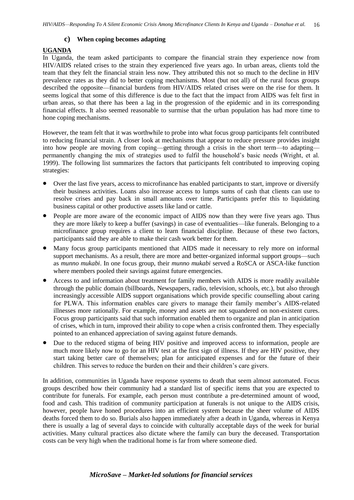# <span id="page-22-0"></span>**c) When coping becomes adapting**

# **UGANDA**

In Uganda, the team asked participants to compare the financial strain they experience now from HIV/AIDS related crises to the strain they experienced five years ago. In urban areas, clients told the team that they felt the financial strain less now. They attributed this not so much to the decline in HIV prevalence rates as they did to better coping mechanisms. Most (but not all) of the rural focus groups described the opposite—financial burdens from HIV/AIDS related crises were on the rise for them. It seems logical that some of this difference is due to the fact that the impact from AIDS was felt first in urban areas, so that there has been a lag in the progression of the epidemic and in its corresponding financial effects. It also seemed reasonable to surmise that the urban population has had more time to hone coping mechanisms.

However, the team felt that it was worthwhile to probe into what focus group participants felt contributed to reducing financial strain. A closer look at mechanisms that appear to reduce pressure provides insight into how people are moving from coping—getting through a crisis in the short term—to adapting permanently changing the mix of strategies used to fulfil the household's basic needs (Wright, et al. 1999). The following list summarizes the factors that participants felt contributed to improving coping strategies:

- Over the last five years, access to microfinance has enabled participants to start, improve or diversify their business activities. Loans also increase access to lumps sums of cash that clients can use to resolve crises and pay back in small amounts over time. Participants prefer this to liquidating business capital or other productive assets like land or cattle.
- People are more aware of the economic impact of AIDS now than they were five years ago. Thus they are more likely to keep a buffer (savings) in case of eventualities—like funerals. Belonging to a microfinance group requires a client to learn financial discipline. Because of these two factors, participants said they are able to make their cash work better for them.
- Many focus group participants mentioned that AIDS made it necessary to rely more on informal support mechanisms. As a result, there are more and better-organized informal support groups—such as *munno mukabi*. In one focus group, their *munno mukabi* served a RoSCA or ASCA-like function where members pooled their savings against future emergencies.
- Access to and information about treatment for family members with AIDS is more readily available through the public domain (billboards, Newspapers, radio, television, schools, etc.), but also through increasingly accessible AIDS support organisations which provide specific counselling about caring for PLWA. This information enables care givers to manage their family member's AIDS-related illnesses more rationally. For example, money and assets are not squandered on non-existent cures. Focus group participants said that such information enabled them to organize and plan in anticipation of crises, which in turn, improved their ability to cope when a crisis confronted them. They especially pointed to an enhanced appreciation of saving against future demands.
- Due to the reduced stigma of being HIV positive and improved access to information, people are much more likely now to go for an HIV test at the first sign of illness. If they are HIV positive, they start taking better care of themselves; plan for anticipated expenses and for the future of their children. This serves to reduce the burden on their and their children's care givers.

In addition, communities in Uganda have response systems to death that seem almost automated. Focus groups described how their community had a standard list of specific items that you are expected to contribute for funerals. For example, each person must contribute a pre-determined amount of wood, food and cash. This tradition of community participation at funerals is not unique to the AIDS crisis, however, people have honed procedures into an efficient system because the sheer volume of AIDS deaths forced them to do so. Burials also happen immediately after a death in Uganda, whereas in Kenya there is usually a lag of several days to coincide with culturally acceptable days of the week for burial activities. Many cultural practices also dictate where the family can bury the deceased. Transportation costs can be very high when the traditional home is far from where someone died.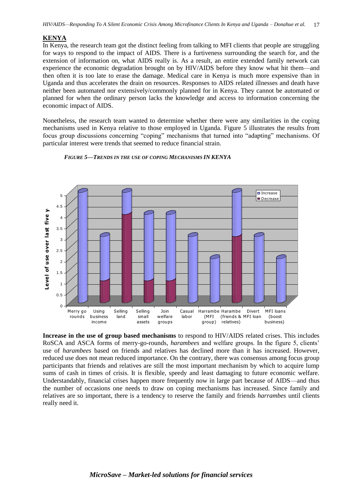#### **KENYA**

In Kenya, the research team got the distinct feeling from talking to MFI clients that people are struggling for ways to respond to the impact of AIDS. There is a furtiveness surrounding the search for, and the extension of information on, what AIDS really is. As a result, an entire extended family network can experience the economic degradation brought on by HIV/AIDS before they know what hit them—and then often it is too late to erase the damage. Medical care in Kenya is much more expensive than in Uganda and thus accelerates the drain on resources. Responses to AIDS related illnesses and death have neither been automated nor extensively/commonly planned for in Kenya. They cannot be automated or planned for when the ordinary person lacks the knowledge and access to information concerning the economic impact of AIDS.

Nonetheless, the research team wanted to determine whether there were any similarities in the coping mechanisms used in Kenya relative to those employed in Uganda. Figure 5 illustrates the results from focus group discussions concerning "coping" mechanisms that turned into "adapting" mechanisms. Of particular interest were trends that seemed to reduce financial strain.



*FIGURE 5—TRENDS IN THE USE OF COPING MECHANISMS IN KENYA*

**Increase in the use of group based mechanisms** to respond to HIV/AIDS related crises. This includes RoSCA and ASCA forms of merry-go-rounds, *harambees* and welfare groups. In the figure 5, clients' use of *harambees* based on friends and relatives has declined more than it has increased. However, reduced use does not mean reduced importance. On the contrary, there was consensus among focus group participants that friends and relatives are still the most important mechanism by which to acquire lump sums of cash in times of crisis. It is flexible, speedy and least damaging to future economic welfare. Understandably, financial crises happen more frequently now in large part because of AIDS—and thus the number of occasions one needs to draw on coping mechanisms has increased. Since family and relatives are so important, there is a tendency to reserve the family and friends *harrambes* until clients really need it.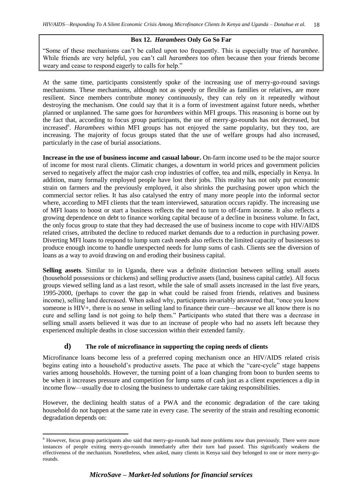# **Box 12.** *Harambees* **Only Go So Far**

"Some of these mechanisms can't be called upon too frequently. This is especially true of *harambee*. While friends are very helpful, you can't call *harambees* too often because then your friends become weary and cease to respond eagerly to calls for help."

At the same time, participants consistently spoke of the increasing use of merry-go-round savings mechanisms. These mechanisms, although not as speedy or flexible as families or relatives, are more resilient. Since members contribute money continuously, they can rely on it repeatedly without destroying the mechanism. One could say that it is a form of investment against future needs, whether planned or unplanned. The same goes for *harambees* within MFI groups. This reasoning is borne out by the fact that, according to focus group participants, the use of merry-go-rounds has not decreased, but increased<sup>6</sup>. *Harambees* within MFI groups has not enjoyed the same popularity, but they too, are increasing. The majority of focus groups stated that the use of welfare groups had also increased, particularly in the case of burial associations.

**Increase in the use of business income and casual labour.** On-farm income used to be the major source of income for most rural clients. Climatic changes, a downturn in world prices and government policies served to negatively affect the major cash crop industries of coffee, tea and milk, especially in Kenya. In addition, many formally employed people have lost their jobs. This reality has not only put economic strain on farmers and the previously employed, it also shrinks the purchasing power upon which the commercial sector relies. It has also catalysed the entry of many more people into the informal sector where, according to MFI clients that the team interviewed, saturation occurs rapidly. The increasing use of MFI loans to boost or start a business reflects the need to turn to off-farm income. It also reflects a growing dependence on debt to finance working capital because of a decline in business volume. In fact, the only focus group to state that they had decreased the use of business income to cope with HIV/AIDS related crises, attributed the decline to reduced market demands due to a reduction in purchasing power. Diverting MFI loans to respond to lump sum cash needs also reflects the limited capacity of businesses to produce enough income to handle unexpected needs for lump sums of cash. Clients see the diversion of loans as a way to avoid drawing on and eroding their business capital.

**Selling assets**. Similar to in Uganda, there was a definite distinction between selling small assets (household possessions or chickens) and selling productive assets (land, business capital cattle). All focus groups viewed selling land as a last resort, while the sale of small assets increased in the last five years, 1995-2000, (perhaps to cover the gap in what could be raised from friends, relatives and business income), selling land decreased. When asked why, participants invariably answered that, "once you know someone is HIV+, there is no sense in selling land to finance their cure—because we all know there is no cure and selling land is not going to help them." Participants who stated that there was a decrease in selling small assets believed it was due to an increase of people who had no assets left because they experienced multiple deaths in close succession within their extended family.

# <span id="page-24-0"></span>**d) The role of microfinance in supporting the coping needs of clients**

Microfinance loans become less of a preferred coping mechanism once an HIV/AIDS related crisis begins eating into a household's productive assets. The pace at which the "care-cycle" stage happens varies among households. However, the turning point of a loan changing from boon to burden seems to be when it increases pressure and competition for lump sums of cash just as a client experiences a dip in income flow—usually due to closing the business to undertake care taking responsibilities.

However, the declining health status of a PWA and the economic degradation of the care taking household do not happen at the same rate in every case. The severity of the strain and resulting economic degradation depends on:

-

<sup>6</sup> However, focus group participants also said that merry-go-rounds had more problems now than previously. There were more instances of people exiting merry-go-rounds immediately after their turn had passed. This significantly weakens the effectiveness of the mechanism. Nonetheless, when asked, many clients in Kenya said they belonged to one or more merry-gorounds.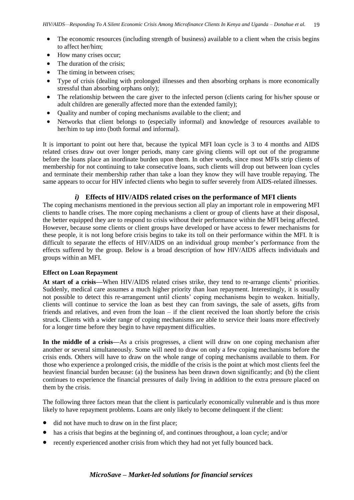- The economic resources (including strength of business) available to a client when the crisis begins to affect her/him;
- How many crises occur;
- The duration of the crisis;
- The timing in between crises;
- Type of crisis (dealing with prolonged illnesses and then absorbing orphans is more economically stressful than absorbing orphans only);
- The relationship between the care giver to the infected person (clients caring for his/her spouse or adult children are generally affected more than the extended family);
- Quality and number of coping mechanisms available to the client; and
- Networks that client belongs to (especially informal) and knowledge of resources available to her/him to tap into (both formal and informal).

It is important to point out here that, because the typical MFI loan cycle is 3 to 4 months and AIDS related crises draw out over longer periods, many care giving clients will opt out of the programme before the loans place an inordinate burden upon them. In other words, since most MFIs strip clients of membership for not continuing to take consecutive loans, such clients will drop out between loan cycles and terminate their membership rather than take a loan they know they will have trouble repaying. The same appears to occur for HIV infected clients who begin to suffer severely from AIDS-related illnesses.

# *i)* **Effects of HIV/AIDS related crises on the performance of MFI clients**

<span id="page-25-0"></span>The coping mechanisms mentioned in the previous section all play an important role in empowering MFI clients to handle crises. The more coping mechanisms a client or group of clients have at their disposal, the better equipped they are to respond to crisis without their performance within the MFI being affected. However, because some clients or client groups have developed or have access to fewer mechanisms for these people, it is not long before crisis begins to take its toll on their performance within the MFI. It is difficult to separate the effects of HIV/AIDS on an individual group member's performance from the effects suffered by the group. Below is a broad description of how HIV/AIDS affects individuals and groups within an MFI.

# **Effect on Loan Repayment**

**At start of a crisis—**When HIV/AIDS related crises strike, they tend to re-arrange clients' priorities. Suddenly, medical care assumes a much higher priority than loan repayment. Interestingly, it is usually not possible to detect this re-arrangement until clients' coping mechanisms begin to weaken. Initially, clients will continue to service the loan as best they can from savings, the sale of assets, gifts from friends and relatives, and even from the loan – if the client received the loan shortly before the crisis struck. Clients with a wider range of coping mechanisms are able to service their loans more effectively for a longer time before they begin to have repayment difficulties.

**In the middle of a crisis—**As a crisis progresses, a client will draw on one coping mechanism after another or several simultaneously. Some will need to draw on only a few coping mechanisms before the crisis ends. Others will have to draw on the whole range of coping mechanisms available to them. For those who experience a prolonged crisis, the middle of the crisis is the point at which most clients feel the heaviest financial burden because: (a) the business has been drawn down significantly; and (b) the client continues to experience the financial pressures of daily living in addition to the extra pressure placed on them by the crisis.

The following three factors mean that the client is particularly economically vulnerable and is thus more likely to have repayment problems. Loans are only likely to become delinquent if the client:

- did not have much to draw on in the first place;
- has a crisis that begins at the beginning of, and continues throughout, a loan cycle; and/or
- recently experienced another crisis from which they had not yet fully bounced back.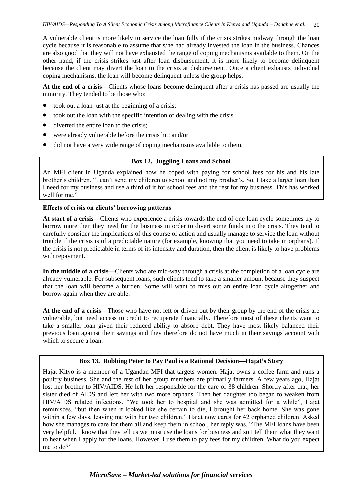A vulnerable client is more likely to service the loan fully if the crisis strikes midway through the loan cycle because it is reasonable to assume that s/he had already invested the loan in the business. Chances are also good that they will not have exhausted the range of coping mechanisms available to them. On the other hand, if the crisis strikes just after loan disbursement, it is more likely to become delinquent because the client may divert the loan to the crisis at disbursement. Once a client exhausts individual coping mechanisms, the loan will become delinquent unless the group helps.

**At the end of a crisis—**Clients whose loans become delinquent after a crisis has passed are usually the minority. They tended to be those who:

- took out a loan just at the beginning of a crisis;
- took out the loan with the specific intention of dealing with the crisis
- diverted the entire loan to the crisis;
- were already vulnerable before the crisis hit; and/or
- did not have a very wide range of coping mechanisms available to them.

#### **Box 12. Juggling Loans and School**

An MFI client in Uganda explained how he coped with paying for school fees for his and his late brother's children. "I can't send my children to school and not my brother's. So, I take a larger loan than I need for my business and use a third of it for school fees and the rest for my business. This has worked well for me."

#### **Effects of crisis on clients' borrowing patterns**

**At start of a crisis—**Clients who experience a crisis towards the end of one loan cycle sometimes try to borrow more then they need for the business in order to divert some funds into the crisis. They tend to carefully consider the implications of this course of action and usually manage to service the loan without trouble if the crisis is of a predictable nature (for example, knowing that you need to take in orphans). If the crisis is not predictable in terms of its intensity and duration, then the client is likely to have problems with repayment.

**In the middle of a crisis—**Clients who are mid-way through a crisis at the completion of a loan cycle are already vulnerable. For subsequent loans, such clients tend to take a smaller amount because they suspect that the loan will become a burden. Some will want to miss out an entire loan cycle altogether and borrow again when they are able.

**At the end of a crisis—**Those who have not left or driven out by their group by the end of the crisis are vulnerable, but need access to credit to recuperate financially. Therefore most of these clients want to take a smaller loan given their reduced ability to absorb debt. They have most likely balanced their previous loan against their savings and they therefore do not have much in their savings account with which to secure a loan.

# **Box 13. Robbing Peter to Pay Paul is a Rational Decision—Hajat's Story**

Hajat Kityo is a member of a Ugandan MFI that targets women. Hajat owns a coffee farm and runs a poultry business. She and the rest of her group members are primarily farmers. A few years ago, Hajat lost her brother to HIV/AIDS. He left her responsible for the care of 38 children. Shortly after that, her sister died of AIDS and left her with two more orphans. Then her daughter too began to weaken from HIV/AIDS related infections. "We took her to hospital and she was admitted for a while", Hajat reminisces, "but then when it looked like she certain to die, I brought her back home. She was gone within a few days, leaving me with her two children." Hajat now cares for 42 orphaned children. Asked how she manages to care for them all and keep them in school, her reply was, "The MFI loans have been very helpful. I know that they tell us we must use the loans for business and so I tell them what they want to hear when I apply for the loans. However, I use them to pay fees for my children. What do you expect me to do?"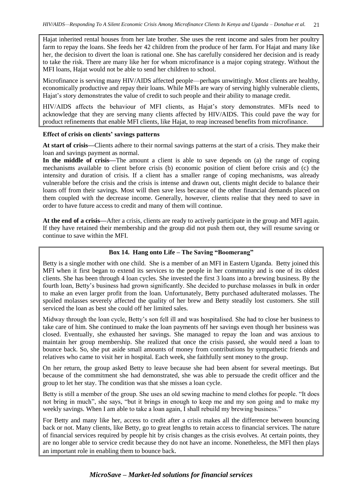Hajat inherited rental houses from her late brother. She uses the rent income and sales from her poultry farm to repay the loans. She feeds her 42 children from the produce of her farm. For Hajat and many like her, the decision to divert the loan is rational one. She has carefully considered her decision and is ready to take the risk. There are many like her for whom microfinance is a major coping strategy. Without the MFI loans, Hajat would not be able to send her children to school.

Microfinance is serving many HIV/AIDS affected people—perhaps unwittingly. Most clients are healthy, economically productive and repay their loans. While MFIs are wary of serving highly vulnerable clients, Hajat's story demonstrates the value of credit to such people and their ability to manage credit.

HIV/AIDS affects the behaviour of MFI clients, as Hajat's story demonstrates. MFIs need to acknowledge that they are serving many clients affected by HIV/AIDS. This could pave the way for product refinements that enable MFI clients, like Hajat, to reap increased benefits from microfinance.

#### **Effect of crisis on clients' savings patterns**

**At start of crisis—**Clients adhere to their normal savings patterns at the start of a crisis. They make their loan and savings payment as normal.

**In the middle of crisis—**The amount a client is able to save depends on (a) the range of coping mechanisms available to client before crisis (b) economic position of client before crisis and (c) the intensity and duration of crisis. If a client has a smaller range of coping mechanisms, was already vulnerable before the crisis and the crisis is intense and drawn out, clients might decide to balance their loans off from their savings. Most will then save less because of the other financial demands placed on them coupled with the decrease income. Generally, however, clients realise that they need to save in order to have future access to credit and many of them will continue.

**At the end of a crisis—**After a crisis, clients are ready to actively participate in the group and MFI again. If they have retained their membership and the group did not push them out, they will resume saving or continue to save within the MFI.

# **Box 14. Hang onto Life – The Saving "Boomerang"**

Betty is a single mother with one child. She is a member of an MFI in Eastern Uganda. Betty joined this MFI when it first began to extend its services to the people in her community and is one of its oldest clients. She has been through 4 loan cycles. She invested the first 3 loans into a brewing business. By the fourth loan, Betty's business had grown significantly. She decided to purchase molasses in bulk in order to make an even larger profit from the loan. Unfortunately, Betty purchased adulterated molasses. The spoiled molasses severely affected the quality of her brew and Betty steadily lost customers. She still serviced the loan as best she could off her limited sales.

Midway through the loan cycle, Betty's son fell ill and was hospitalised. She had to close her business to take care of him. She continued to make the loan payments off her savings even though her business was closed. Eventually, she exhausted her savings. She managed to repay the loan and was anxious to maintain her group membership. She realized that once the crisis passed, she would need a loan to bounce back. So, she put aside small amounts of money from contributions by sympathetic friends and relatives who came to visit her in hospital. Each week, she faithfully sent money to the group.

On her return, the group asked Betty to leave because she had been absent for several meetings. But because of the commitment she had demonstrated, she was able to persuade the credit officer and the group to let her stay. The condition was that she misses a loan cycle.

Betty is still a member of the group. She uses an old sewing machine to mend clothes for people. "It does not bring in much", she says, "but it brings in enough to keep me and my son going and to make my weekly savings. When I am able to take a loan again, I shall rebuild my brewing business."

For Betty and many like her, access to credit after a crisis makes all the difference between bouncing back or not. Many clients, like Betty, go to great lengths to retain access to financial services. The nature of financial services required by people hit by crisis changes as the crisis evolves. At certain points, they are no longer able to service credit because they do not have an income. Nonetheless, the MFI then plays an important role in enabling them to bounce back.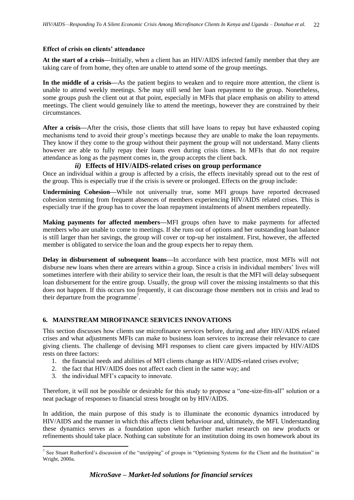#### **Effect of crisis on clients' attendance**

**At the start of a crisis—**Initially, when a client has an HIV/AIDS infected family member that they are taking care of from home, they often are unable to attend some of the group meetings.

**In the middle of a crisis—**As the patient begins to weaken and to require more attention, the client is unable to attend weekly meetings. S/he may still send her loan repayment to the group. Nonetheless, some groups push the client out at that point, especially in MFIs that place emphasis on ability to attend meetings. The client would genuinely like to attend the meetings, however they are constrained by their circumstances.

**After a crisis—**After the crisis, those clients that still have loans to repay but have exhausted coping mechanisms tend to avoid their group's meetings because they are unable to make the loan repayments. They know if they come to the group without their payment the group will not understand. Many clients however are able to fully repay their loans even during crisis times. In MFIs that do not require attendance as long as the payment comes in, the group accepts the client back.

# *ii)* **Effects of HIV/AIDS-related crises on group performance**

<span id="page-28-0"></span>Once an individual within a group is affected by a crisis, the effects inevitably spread out to the rest of the group. This is especially true if the crisis is severe or prolonged. Effects on the group include:

**Undermining Cohesion—**While not universally true, some MFI groups have reported decreased cohesion stemming from frequent absences of members experiencing HIV/AIDS related crises. This is especially true if the group has to cover the loan repayment instalments of absent members repeatedly.

**Making payments for affected members—**MFI groups often have to make payments for affected members who are unable to come to meetings. If she runs out of options and her outstanding loan balance is still larger than her savings, the group will cover or top-up her instalment. First, however, the affected member is obligated to service the loan and the group expects her to repay them.

**Delay in disbursement of subsequent loans—**In accordance with best practice, most MFIs will not disburse new loans when there are arrears within a group. Since a crisis in individual members' lives will sometimes interfere with their ability to service their loan, the result is that the MFI will delay subsequent loan disbursement for the entire group. Usually, the group will cover the missing instalments so that this does not happen. If this occurs too frequently, it can discourage those members not in crisis and lead to their departure from the programme<sup>7</sup>.

# <span id="page-28-1"></span>**6. MAINSTREAM MIROFINANCE SERVICES INNOVATIONS**

This section discusses how clients use microfinance services before, during and after HIV/AIDS related crises and what adjustments MFIs can make to business loan services to increase their relevance to care giving clients. The challenge of devising MFI responses to client care givers impacted by HIV/AIDS rests on three factors:

- 1. the financial needs and abilities of MFI clients change as HIV/AIDS-related crises evolve;
- 2. the fact that HIV/AIDS does not affect each client in the same way; and
- 3. the individual MFI's capacity to innovate.

-

Therefore, it will not be possible or desirable for this study to propose a "one-size-fits-all" solution or a neat package of responses to financial stress brought on by HIV/AIDS.

In addition, the main purpose of this study is to illuminate the economic dynamics introduced by HIV/AIDS and the manner in which this affects client behaviour and, ultimately, the MFI. Understanding these dynamics serves as a foundation upon which further market research on new products or refinements should take place. Nothing can substitute for an institution doing its own homework about its

<sup>&</sup>lt;sup>7</sup> See Stuart Rutherford's discussion of the "unzipping" of groups in "Optimising Systems for the Client and the Institution" in Wright, 2000a.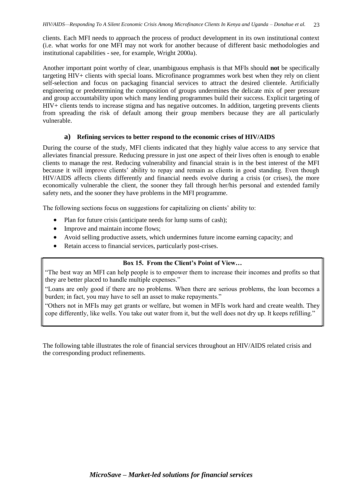clients. Each MFI needs to approach the process of product development in its own institutional context (i.e. what works for one MFI may not work for another because of different basic methodologies and institutional capabilities - see, for example, Wright 2000a).

Another important point worthy of clear, unambiguous emphasis is that MFIs should **not** be specifically targeting HIV+ clients with special loans. Microfinance programmes work best when they rely on client self-selection and focus on packaging financial services to attract the desired clientele. Artificially engineering or predetermining the composition of groups undermines the delicate mix of peer pressure and group accountability upon which many lending programmes build their success. Explicit targeting of HIV+ clients tends to increase stigma and has negative outcomes. In addition, targeting prevents clients from spreading the risk of default among their group members because they are all particularly vulnerable.

# <span id="page-29-0"></span>**a) Refining services to better respond to the economic crises of HIV/AIDS**

During the course of the study, MFI clients indicated that they highly value access to any service that alleviates financial pressure. Reducing pressure in just one aspect of their lives often is enough to enable clients to manage the rest. Reducing vulnerability and financial strain is in the best interest of the MFI because it will improve clients' ability to repay and remain as clients in good standing. Even though HIV/AIDS affects clients differently and financial needs evolve during a crisis (or crises), the more economically vulnerable the client, the sooner they fall through her/his personal and extended family safety nets, and the sooner they have problems in the MFI programme.

The following sections focus on suggestions for capitalizing on clients' ability to:

- Plan for future crisis (anticipate needs for lump sums of cash);
- Improve and maintain income flows:
- Avoid selling productive assets, which undermines future income earning capacity; and
- Retain access to financial services, particularly post-crises.

# **Box 15. From the Client's Point of View…**

"The best way an MFI can help people is to empower them to increase their incomes and profits so that they are better placed to handle multiple expenses."

"Loans are only good if there are no problems. When there are serious problems, the loan becomes a burden; in fact, you may have to sell an asset to make repayments."

"Others not in MFIs may get grants or welfare, but women in MFIs work hard and create wealth. They cope differently, like wells. You take out water from it, but the well does not dry up. It keeps refilling."

The following table illustrates the role of financial services throughout an HIV/AIDS related crisis and the corresponding product refinements.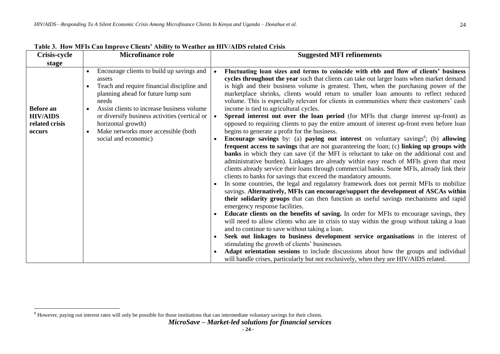| <b>Crisis-cycle</b>               | <b>Microfinance role</b>                                                                                                                         | <b>Suggested MFI refinements</b>                                                                                                                                                                                                                                                                                                                                                                                                                                                                                                                                                      |
|-----------------------------------|--------------------------------------------------------------------------------------------------------------------------------------------------|---------------------------------------------------------------------------------------------------------------------------------------------------------------------------------------------------------------------------------------------------------------------------------------------------------------------------------------------------------------------------------------------------------------------------------------------------------------------------------------------------------------------------------------------------------------------------------------|
| stage                             |                                                                                                                                                  |                                                                                                                                                                                                                                                                                                                                                                                                                                                                                                                                                                                       |
|                                   | Encourage clients to build up savings and<br>assets<br>Teach and require financial discipline and<br>planning ahead for future lump sum<br>needs | Fluctuating loan sizes and terms to coincide with ebb and flow of clients' business<br>$\bullet$<br>cycles throughout the year such that clients can take out larger loans when market demand<br>is high and their business volume is greatest. Then, when the purchasing power of the<br>marketplace shrinks, clients would return to smaller loan amounts to reflect reduced<br>volume. This is especially relevant for clients in communities where their customers' cash                                                                                                          |
| <b>Before</b> an                  | Assist clients to increase business volume                                                                                                       | income is tied to agricultural cycles.                                                                                                                                                                                                                                                                                                                                                                                                                                                                                                                                                |
| <b>HIV/AIDS</b><br>related crisis | or diversify business activities (vertical or<br>horizontal growth)                                                                              | Spread interest out over the loan period (for MFIs that charge interest up-front) as<br>$\bullet$<br>opposed to requiring clients to pay the entire amount of interest up-front even before loan                                                                                                                                                                                                                                                                                                                                                                                      |
| occurs                            | Make networks more accessible (both<br>$\bullet$                                                                                                 | begins to generate a profit for the business.                                                                                                                                                                                                                                                                                                                                                                                                                                                                                                                                         |
|                                   | social and economic)                                                                                                                             | <b>Encourage savings</b> by: (a) <b>paying out interest</b> on voluntary savings <sup>8</sup> ; (b) allowing<br>$\bullet$<br>frequent access to savings that are not guaranteeing the loan; (c) linking up groups with<br><b>banks</b> in which they can save (if the MFI is reluctant to take on the additional cost and<br>administrative burden). Linkages are already within easy reach of MFIs given that most<br>clients already service their loans through commercial banks. Some MFIs, already link their<br>clients to banks for savings that exceed the mandatory amounts. |
|                                   |                                                                                                                                                  | In some countries, the legal and regulatory framework does not permit MFIs to mobilize<br>savings. Alternatively, MFIs can encourage/support the development of ASCAs within<br>their solidarity groups that can then function as useful savings mechanisms and rapid<br>emergency response facilities.<br><b>Educate clients on the benefits of saving.</b> In order for MFIs to encourage savings, they                                                                                                                                                                             |
|                                   |                                                                                                                                                  | will need to allow clients who are in crisis to stay within the group without taking a loan<br>and to continue to save without taking a loan.                                                                                                                                                                                                                                                                                                                                                                                                                                         |
|                                   |                                                                                                                                                  | Seek out linkages to business development service organisations in the interest of<br>stimulating the growth of clients' businesses.                                                                                                                                                                                                                                                                                                                                                                                                                                                  |
|                                   |                                                                                                                                                  | Adapt orientation sessions to include discussions about how the groups and individual<br>will handle crises, particularly but not exclusively, when they are HIV/AIDS related.                                                                                                                                                                                                                                                                                                                                                                                                        |

**Table 3. How MFIs Can Improve Clients' Ability to Weather an HIV/AIDS related Crisis**

 $\overline{a}$ <sup>8</sup> However, paying out interest rates will only be possible for those institutions that can intermediate voluntary savings for their clients.

*MicroSave – Market-led solutions for financial services*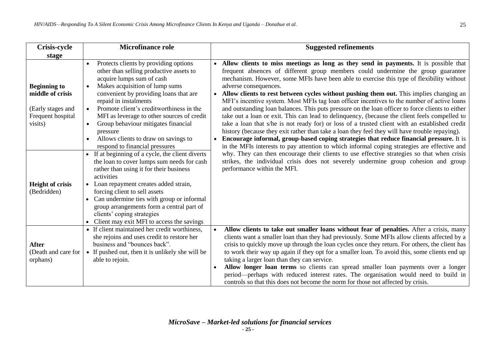| <b>Crisis-cycle</b>                                                                          | <b>Microfinance role</b>                                                                                                                                                                                                                                                                                                                                                                                                                                        | <b>Suggested refinements</b>                                                                                                                                                                                                                                                                                                                                                                                                                                                                                                                                                                                                                                                                                                                                                                                                                                                                                                                                                                                           |  |
|----------------------------------------------------------------------------------------------|-----------------------------------------------------------------------------------------------------------------------------------------------------------------------------------------------------------------------------------------------------------------------------------------------------------------------------------------------------------------------------------------------------------------------------------------------------------------|------------------------------------------------------------------------------------------------------------------------------------------------------------------------------------------------------------------------------------------------------------------------------------------------------------------------------------------------------------------------------------------------------------------------------------------------------------------------------------------------------------------------------------------------------------------------------------------------------------------------------------------------------------------------------------------------------------------------------------------------------------------------------------------------------------------------------------------------------------------------------------------------------------------------------------------------------------------------------------------------------------------------|--|
| stage                                                                                        |                                                                                                                                                                                                                                                                                                                                                                                                                                                                 |                                                                                                                                                                                                                                                                                                                                                                                                                                                                                                                                                                                                                                                                                                                                                                                                                                                                                                                                                                                                                        |  |
| <b>Beginning to</b><br>middle of crisis<br>(Early stages and<br>Frequent hospital<br>visits) | Protects clients by providing options<br>$\bullet$<br>other than selling productive assets to<br>acquire lumps sum of cash<br>Makes acquisition of lump sums<br>$\bullet$<br>convenient by providing loans that are<br>repaid in instalments<br>Promote client's creditworthiness in the<br>$\bullet$<br>MFI as leverage to other sources of credit<br>Group behaviour mitigates financial<br>$\bullet$<br>pressure<br>Allows clients to draw on savings to     | Allow clients to miss meetings as long as they send in payments. It is possible that<br>frequent absences of different group members could undermine the group guarantee<br>mechanism. However, some MFIs have been able to exercise this type of flexibility without<br>adverse consequences.<br>Allow clients to rest between cycles without pushing them out. This implies changing an<br>$\bullet$<br>MFI's incentive system. Most MFIs tag loan officer incentives to the number of active loans<br>and outstanding loan balances. This puts pressure on the loan officer to force clients to either<br>take out a loan or exit. This can lead to delinquency, (because the client feels compelled to<br>take a loan that s/he is not ready for) or loss of a trusted client with an established credit<br>history (because they exit rather than take a loan they feel they will have trouble repaying).<br>Encourage informal, group-based coping strategies that reduce financial pressure. It is<br>$\bullet$ |  |
| <b>Height of crisis</b><br>(Bedridden)                                                       | respond to financial pressures<br>If at beginning of a cycle, the client diverts<br>$\bullet$<br>the loan to cover lumps sum needs for cash<br>rather than using it for their business<br>activities<br>Loan repayment creates added strain,<br>$\bullet$<br>forcing client to sell assets<br>Can undermine ties with group or informal<br>group arrangements form a central part of<br>clients' coping strategies<br>Client may exit MFI to access the savings | in the MFIs interests to pay attention to which informal coping strategies are effective and<br>why. They can then encourage their clients to use effective strategies so that when crisis<br>strikes, the individual crisis does not severely undermine group cohesion and group<br>performance within the MFI.                                                                                                                                                                                                                                                                                                                                                                                                                                                                                                                                                                                                                                                                                                       |  |
| <b>After</b><br>(Death and care for<br>orphans)                                              | • If client maintained her credit worthiness,<br>she rejoins and uses credit to restore her<br>business and "bounces back".<br>• If pushed out, then it is unlikely she will be<br>able to rejoin.                                                                                                                                                                                                                                                              | Allow clients to take out smaller loans without fear of penalties. After a crisis, many<br>$\bullet$<br>clients want a smaller loan than they had previously. Some MFIs allow clients affected by a<br>crisis to quickly move up through the loan cycles once they return. For others, the client has<br>to work their way up again if they opt for a smaller loan. To avoid this, some clients end up<br>taking a larger loan than they can service.<br>Allow longer loan terms so clients can spread smaller loan payments over a longer<br>period—perhaps with reduced interest rates. The organisation would need to build in<br>controls so that this does not become the norm for those not affected by crisis.                                                                                                                                                                                                                                                                                                  |  |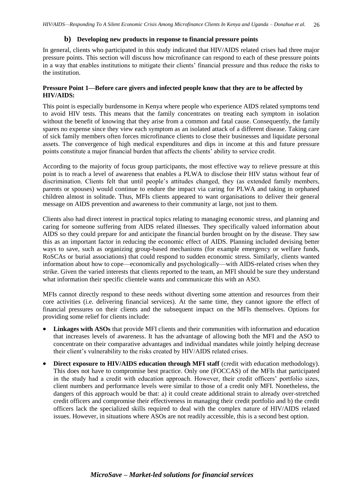### <span id="page-32-0"></span>**b) Developing new products in response to financial pressure points**

In general, clients who participated in this study indicated that HIV/AIDS related crises had three major pressure points. This section will discuss how microfinance can respond to each of these pressure points in a way that enables institutions to mitigate their clients' financial pressure and thus reduce the risks to the institution.

# **Pressure Point 1—Before care givers and infected people know that they are to be affected by HIV/AIDS:**

This point is especially burdensome in Kenya where people who experience AIDS related symptoms tend to avoid HIV tests. This means that the family concentrates on treating each symptom in isolation without the benefit of knowing that they arise from a common and fatal cause. Consequently, the family spares no expense since they view each symptom as an isolated attack of a different disease. Taking care of sick family members often forces microfinance clients to close their businesses and liquidate personal assets. The convergence of high medical expenditures and dips in income at this and future pressure points constitute a major financial burden that affects the clients' ability to service credit.

According to the majority of focus group participants, the most effective way to relieve pressure at this point is to reach a level of awareness that enables a PLWA to disclose their HIV status without fear of discrimination. Clients felt that until people's attitudes changed, they (as extended family members, parents or spouses) would continue to endure the impact via caring for PLWA and taking in orphaned children almost in solitude. Thus, MFIs clients appeared to want organisations to deliver their general message on AIDS prevention and awareness to their community at large, not just to them.

Clients also had direct interest in practical topics relating to managing economic stress, and planning and caring for someone suffering from AIDS related illnesses. They specifically valued information about AIDS so they could prepare for and anticipate the financial burden brought on by the disease. They saw this as an important factor in reducing the economic effect of AIDS. Planning included devising better ways to save, such as organizing group-based mechanisms (for example emergency or welfare funds, RoSCAs or burial associations) that could respond to sudden economic stress. Similarly, clients wanted information about how to cope—economically and psychologically—with AIDS-related crises when they strike. Given the varied interests that clients reported to the team, an MFI should be sure they understand what information their specific clientele wants and communicate this with an ASO.

MFIs cannot directly respond to these needs without diverting some attention and resources from their core activities (i.e. delivering financial services). At the same time, they cannot ignore the effect of financial pressures on their clients and the subsequent impact on the MFIs themselves. Options for providing some relief for clients include:

- **Linkages with ASOs** that provide MFI clients and their communities with information and education that increases levels of awareness. It has the advantage of allowing both the MFI and the ASO to concentrate on their comparative advantages and individual mandates while jointly helping decrease their client's vulnerability to the risks created by HIV/AIDS related crises.
- **•** Direct exposure to HIV/AIDS education through MFI staff (credit with education methodology). This does not have to compromise best practice. Only one (FOCCAS) of the MFIs that participated in the study had a credit with education approach. However, their credit officers' portfolio sizes, client numbers and performance levels were similar to those of a credit only MFI. Nonetheless, the dangers of this approach would be that: a) it could create additional strain to already over-stretched credit officers and compromise their effectiveness in managing their credit portfolio and b) the credit officers lack the specialized skills required to deal with the complex nature of HIV/AIDS related issues. However, in situations where ASOs are not readily accessible, this is a second best option.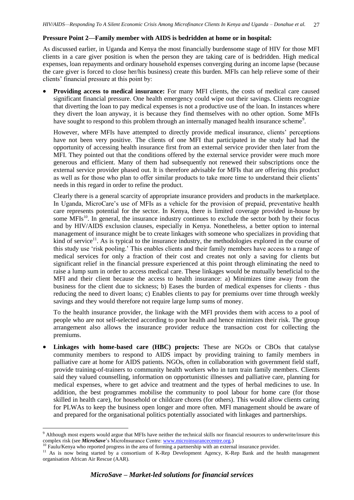### **Pressure Point 2—Family member with AIDS is bedridden at home or in hospital:**

As discussed earlier, in Uganda and Kenya the most financially burdensome stage of HIV for those MFI clients in a care giver position is when the person they are taking care of is bedridden. High medical expenses, loan repayments and ordinary household expenses converging during an income lapse (because the care giver is forced to close her/his business) create this burden. MFIs can help relieve some of their clients' financial pressure at this point by:

**Providing access to medical insurance:** For many MFI clients, the costs of medical care caused significant financial pressure. One health emergency could wipe out their savings. Clients recognize that diverting the loan to pay medical expenses is not a productive use of the loan. In instances where they divert the loan anyway, it is because they find themselves with no other option. Some MFIs have sought to respond to this problem through an internally managed health insurance scheme<sup>9</sup>.

However, where MFIs have attempted to directly provide medical insurance, clients' perceptions have not been very positive. The clients of one MFI that participated in the study had had the opportunity of accessing health insurance first from an external service provider then later from the MFI. They pointed out that the conditions offered by the external service provider were much more generous and efficient. Many of them had subsequently not renewed their subscriptions once the external service provider phased out. It is therefore advisable for MFIs that are offering this product as well as for those who plan to offer similar products to take more time to understand their clients' needs in this regard in order to refine the product.

Clearly there is a general scarcity of appropriate insurance providers and products in the marketplace. In Uganda, MicroCare's use of MFIs as a vehicle for the provision of prepaid, preventative health care represents potential for the sector. In Kenya, there is limited coverage provided in-house by some MFIs<sup>10</sup>. In general, the insurance industry continues to exclude the sector both by their focus and by HIV/AIDS exclusion clauses, especially in Kenya. Nonetheless, a better option to internal management of insurance might be to create linkages with someone who specializes in providing that kind of service<sup>11</sup>. As is typical to the insurance industry, the methodologies explored in the course of this study use 'risk pooling.' This enables clients and their family members have access to a range of medical services for only a fraction of their cost and creates not only a saving for clients but significant relief in the financial pressure experienced at this point through eliminating the need to raise a lump sum in order to access medical care. These linkages would be mutually beneficial to the MFI and their client because the access to health insurance: a) Minimizes time away from the business for the client due to sickness; b) Eases the burden of medical expenses for clients - thus reducing the need to divert loans; c) Enables clients to pay for premiums over time through weekly savings and they would therefore not require large lump sums of money.

To the health insurance provider, the linkage with the MFI provides them with access to a pool of people who are not self-selected according to poor health and hence minimizes their risk. The group arrangement also allows the insurance provider reduce the transaction cost for collecting the premiums.

 **Linkages with home-based care (HBC) projects:** These are NGOs or CBOs that catalyse community members to respond to AIDS impact by providing training to family members in palliative care at home for AIDS patients. NGOs, often in collaboration with government field staff, provide training-of-trainers to community health workers who in turn train family members. Clients said they valued counselling, information on opportunistic illnesses and palliative care, planning for medical expenses, where to get advice and treatment and the types of herbal medicines to use. In addition, the best programmes mobilise the community to pool labour for home care (for those skilled in health care), for household or childcare chores (for others). This would allow clients caring for PLWAs to keep the business open longer and more often. MFI management should be aware of and prepared for the organisational politics potentially associated with linkages and partnerships.

-

<sup>&</sup>lt;sup>9</sup> Although most experts would argue that MFIs have neither the technical skills nor financial resources to underwrite/insure this complex risk (see *MicroSave*'s MicroInsurance Centre[: www.microinsurancecentre.org.](http://www.microinsurancecentre.org/))

<sup>&</sup>lt;sup>10</sup> Faulu/Kenya who reported progress in the area of forming a partnership with an external insurance provider.

<sup>&</sup>lt;sup>11</sup> As is now being started by a consortium of K-Rep Development Agency, K-Rep Bank and the health management organisation African Air Rescue (AAR).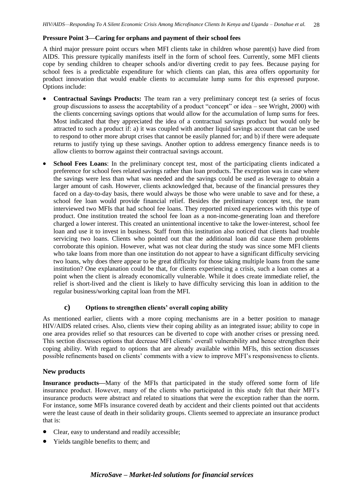# **Pressure Point 3—Caring for orphans and payment of their school fees**

A third major pressure point occurs when MFI clients take in children whose parent(s) have died from AIDS. This pressure typically manifests itself in the form of school fees. Currently, some MFI clients cope by sending children to cheaper schools and/or diverting credit to pay fees. Because paying for school fees is a predictable expenditure for which clients can plan, this area offers opportunity for product innovation that would enable clients to accumulate lump sums for this expressed purpose. Options include:

- **Contractual Savings Products:** The team ran a very preliminary concept test (a series of focus group discussions to assess the acceptability of a product "concept" or idea – see Wright, 2000) with the clients concerning savings options that would allow for the accumulation of lump sums for fees. Most indicated that they appreciated the idea of a contractual savings product but would only be attracted to such a product if: a) it was coupled with another liquid savings account that can be used to respond to other more abrupt crises that cannot be easily planned for; and b) if there were adequate returns to justify tying up these savings. Another option to address emergency finance needs is to allow clients to borrow against their contractual savings account.
- **School Fees Loans**: In the preliminary concept test, most of the participating clients indicated a preference for school fees related savings rather than loan products. The exception was in case where the savings were less than what was needed and the savings could be used as leverage to obtain a larger amount of cash. However, clients acknowledged that, because of the financial pressures they faced on a day-to-day basis, there would always be those who were unable to save and for these, a school fee loan would provide financial relief. Besides the preliminary concept test, the team interviewed two MFIs that had school fee loans. They reported mixed experiences with this type of product. One institution treated the school fee loan as a non-income-generating loan and therefore charged a lower interest. This created an unintentional incentive to take the lower-interest, school fee loan and use it to invest in business. Staff from this institution also noticed that clients had trouble servicing two loans. Clients who pointed out that the additional loan did cause them problems corroborate this opinion. However, what was not clear during the study was since some MFI clients who take loans from more than one institution do not appear to have a significant difficulty servicing two loans, why does there appear to be great difficulty for those taking multiple loans from the same institution? One explanation could be that, for clients experiencing a crisis, such a loan comes at a point when the client is already economically vulnerable. While it does create immediate relief, the relief is short-lived and the client is likely to have difficulty servicing this loan in addition to the regular business/working capital loan from the MFI.

# <span id="page-34-0"></span>**c) Options to strengthen clients' overall coping ability**

As mentioned earlier, clients with a more coping mechanisms are in a better position to manage HIV/AIDS related crises. Also, clients view their coping ability as an integrated issue; ability to cope in one area provides relief so that resources can be diverted to cope with another crises or pressing need. This section discusses options that decrease MFI clients' overall vulnerability and hence strengthen their coping ability. With regard to options that are already available within MFIs, this section discusses possible refinements based on clients' comments with a view to improve MFI's responsiveness to clients.

# **New products**

**Insurance products—**Many of the MFIs that participated in the study offered some form of life insurance product. However, many of the clients who participated in this study felt that their MFI's insurance products were abstract and related to situations that were the exception rather than the norm. For instance, some MFIs insurance covered death by accident and their clients pointed out that accidents were the least cause of death in their solidarity groups. Clients seemed to appreciate an insurance product that is:

- Clear, easy to understand and readily accessible;
- Yields tangible benefits to them; and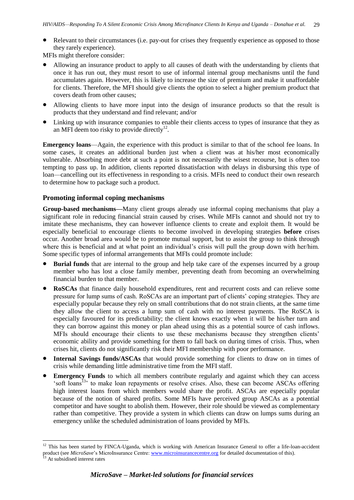Relevant to their circumstances (i.e. pay-out for crises they frequently experience as opposed to those they rarely experience).

MFIs might therefore consider:

- Allowing an insurance product to apply to all causes of death with the understanding by clients that once it has run out, they must resort to use of informal internal group mechanisms until the fund accumulates again. However, this is likely to increase the size of premium and make it unaffordable for clients. Therefore, the MFI should give clients the option to select a higher premium product that covers death from other causes;
- Allowing clients to have more input into the design of insurance products so that the result is products that they understand and find relevant; and/or
- Linking up with insurance companies to enable their clients access to types of insurance that they as an MFI deem too risky to provide directly $^{12}$ .

**Emergency loans**—Again, the experience with this product is similar to that of the school fee loans. In some cases, it creates an additional burden just when a client was at his/her most economically vulnerable. Absorbing more debt at such a point is not necessarily the wisest recourse, but is often too tempting to pass up. In addition, clients reported dissatisfaction with delays in disbursing this type of loan—cancelling out its effectiveness in responding to a crisis. MFIs need to conduct their own research to determine how to package such a product.

# **Promoting informal coping mechanisms**

**Group-based mechanisms—**Many client groups already use informal coping mechanisms that play a significant role in reducing financial strain caused by crises. While MFIs cannot and should not try to imitate these mechanisms, they can however influence clients to create and exploit them. It would be especially beneficial to encourage clients to become involved in developing strategies **before** crises occur. Another broad area would be to promote mutual support, but to assist the group to think through where this is beneficial and at what point an individual's crisis will pull the group down with her/him. Some specific types of informal arrangements that MFIs could promote include:

- **Burial funds** that are internal to the group and help take care of the expenses incurred by a group member who has lost a close family member, preventing death from becoming an overwhelming financial burden to that member.
- **RoSCAs** that finance daily household expenditures, rent and recurrent costs and can relieve some pressure for lump sums of cash. RoSCAs are an important part of clients' coping strategies. They are especially popular because they rely on small contributions that do not strain clients, at the same time they allow the client to access a lump sum of cash with no interest payments. The RoSCA is especially favoured for its predictability; the client knows exactly when it will be his/her turn and they can borrow against this money or plan ahead using this as a potential source of cash inflows. MFIs should encourage their clients to use these mechanisms because they strengthen clients' economic ability and provide something for them to fall back on during times of crisis. Thus, when crises hit, clients do not significantly risk their MFI membership with poor performance.
- **Internal Savings funds/ASCAs** that would provide something for clients to draw on in times of crisis while demanding little administrative time from the MFI staff.
- **Emergency Funds** to which all members contribute regularly and against which they can access 'soft loans<sup>13</sup> to make loan repayments or resolve crises. Also, these can become ASCAs offering high interest loans from which members would share the profit. ASCAs are especially popular because of the notion of shared profits. Some MFIs have perceived group ASCAs as a potential competitor and have sought to abolish them. However, their role should be viewed as complementary rather than competitive. They provide a system in which clients can draw on lumps sums during an emergency unlike the scheduled administration of loans provided by MFIs.

-

 $12$  This has been started by FINCA-Uganda, which is working with American Insurance General to offer a life-loan-accident product (see *MicroSave*'s MicroInsurance Centre: [www.microinsurancecentre.org](http://www.microinsurancecentre.org/) for detailed documentation of this).

At subsidised interest rates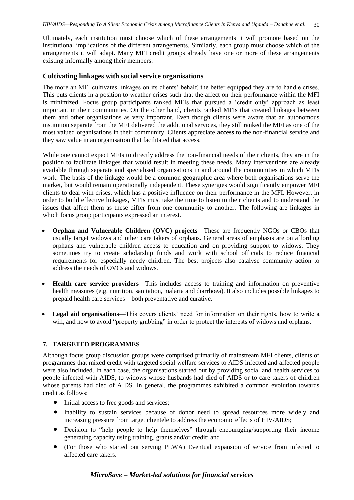Ultimately, each institution must choose which of these arrangements it will promote based on the institutional implications of the different arrangements. Similarly, each group must choose which of the arrangements it will adapt. Many MFI credit groups already have one or more of these arrangements existing informally among their members.

### **Cultivating linkages with social service organisations**

The more an MFI cultivates linkages on its clients' behalf, the better equipped they are to handle crises. This puts clients in a position to weather crises such that the affect on their performance within the MFI is minimized. Focus group participants ranked MFIs that pursued a 'credit only' approach as least important in their communities. On the other hand, clients ranked MFIs that created linkages between them and other organisations as very important. Even though clients were aware that an autonomous institution separate from the MFI delivered the additional services, they still ranked the MFI as one of the most valued organisations in their community. Clients appreciate **access** to the non-financial service and they saw value in an organisation that facilitated that access.

While one cannot expect MFIs to directly address the non-financial needs of their clients, they are in the position to facilitate linkages that would result in meeting these needs. Many interventions are already available through separate and specialised organisations in and around the communities in which MFIs work. The basis of the linkage would be a common geographic area where both organisations serve the market, but would remain operationally independent. These synergies would significantly empower MFI clients to deal with crises, which has a positive influence on their performance in the MFI. However, in order to build effective linkages, MFIs must take the time to listen to their clients and to understand the issues that affect them as these differ from one community to another. The following are linkages in which focus group participants expressed an interest.

- **Orphan and Vulnerable Children (OVC) projects**—These are frequently NGOs or CBOs that usually target widows and other care takers of orphans. General areas of emphasis are on affording orphans and vulnerable children access to education and on providing support to widows. They sometimes try to create scholarship funds and work with school officials to reduce financial requirements for especially needy children. The best projects also catalyse community action to address the needs of OVCs and widows.
- **Health care service providers**—This includes access to training and information on preventive health measures (e.g. nutrition, sanitation, malaria and diarrhoea). It also includes possible linkages to prepaid health care services—both preventative and curative.
- **Legal aid organisations**—This covers clients' need for information on their rights, how to write a will, and how to avoid "property grabbing" in order to protect the interests of widows and orphans.

# <span id="page-36-0"></span>**7. TARGETED PROGRAMMES**

Although focus group discussion groups were comprised primarily of mainstream MFI clients, clients of programmes that mixed credit with targeted social welfare services to AIDS infected and affected people were also included. In each case, the organisations started out by providing social and health services to people infected with AIDS, to widows whose husbands had died of AIDS or to care takers of children whose parents had died of AIDS. In general, the programmes exhibited a common evolution towards credit as follows:

- Initial access to free goods and services;
- Inability to sustain services because of donor need to spread resources more widely and increasing pressure from target clientele to address the economic effects of HIV/AIDS;
- Decision to "help people to help themselves" through encouraging/supporting their income generating capacity using training, grants and/or credit; and
- (For those who started out serving PLWA) Eventual expansion of service from infected to affected care takers.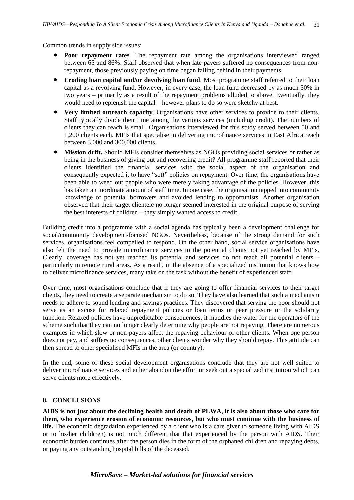Common trends in supply side issues:

- **Poor repayment rates**. The repayment rate among the organisations interviewed ranged between 65 and 86%. Staff observed that when late payers suffered no consequences from nonrepayment, those previously paying on time began falling behind in their payments.
- **Eroding loan capital and/or devolving loan fund.** Most programme staff referred to their loan capital as a revolving fund. However, in every case, the loan fund decreased by as much 50% in two years – primarily as a result of the repayment problems alluded to above. Eventually, they would need to replenish the capital—however plans to do so were sketchy at best.
- **Very limited outreach capacity**. Organisations have other services to provide to their clients. Staff typically divide their time among the various services (including credit). The numbers of clients they can reach is small. Organisations interviewed for this study served between 50 and 1,200 clients each. MFIs that specialise in delivering microfinance services in East Africa reach between 3,000 and 300,000 clients.
- **Mission drift.** Should MFIs consider themselves as NGOs providing social services or rather as being in the business of giving out and recovering credit? All programme staff reported that their clients identified the financial services with the social aspect of the organisation and consequently expected it to have "soft" policies on repayment. Over time, the organisations have been able to weed out people who were merely taking advantage of the policies. However, this has taken an inordinate amount of staff time. In one case, the organisation tapped into community knowledge of potential borrowers and avoided lending to opportunists. Another organisation observed that their target clientele no longer seemed interested in the original purpose of serving the best interests of children—they simply wanted access to credit.

Building credit into a programme with a social agenda has typically been a development challenge for social/community development-focused NGOs. Nevertheless, because of the strong demand for such services, organisations feel compelled to respond. On the other hand, social service organisations have also felt the need to provide microfinance services to the potential clients not yet reached by MFIs. Clearly, coverage has not yet reached its potential and services do not reach all potential clients – particularly in remote rural areas. As a result, in the absence of a specialized institution that knows how to deliver microfinance services, many take on the task without the benefit of experienced staff.

Over time, most organisations conclude that if they are going to offer financial services to their target clients, they need to create a separate mechanism to do so. They have also learned that such a mechanism needs to adhere to sound lending and savings practices. They discovered that serving the poor should not serve as an excuse for relaxed repayment policies or loan terms or peer pressure or the solidarity function. Relaxed policies have unpredictable consequences; it muddies the water for the operators of the scheme such that they can no longer clearly determine why people are not repaying. There are numerous examples in which slow or non-payers affect the repaying behaviour of other clients. When one person does not pay, and suffers no consequences, other clients wonder why they should repay. This attitude can then spread to other specialised MFIs in the area (or country).

In the end, some of these social development organisations conclude that they are not well suited to deliver microfinance services and either abandon the effort or seek out a specialized institution which can serve clients more effectively.

#### <span id="page-37-0"></span>**8. CONCLUSIONS**

**AIDS is not just about the declining health and death of PLWA, it is also about those who care for them, who experience erosion of economic resources, but who must continue with the business of life.** The economic degradation experienced by a client who is a care giver to someone living with AIDS or to his/her child(ren) is not much different that that experienced by the person with AIDS. Their economic burden continues after the person dies in the form of the orphaned children and repaying debts, or paying any outstanding hospital bills of the deceased.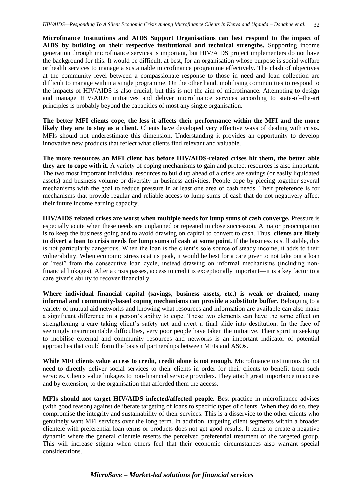**Microfinance Institutions and AIDS Support Organisations can best respond to the impact of AIDS by building on their respective institutional and technical strengths.** Supporting income generation through microfinance services is important, but HIV/AIDS project implementers do not have the background for this. It would be difficult, at best, for an organisation whose purpose is social welfare or health services to manage a sustainable microfinance programme effectively. The clash of objectives at the community level between a compassionate response to those in need and loan collection are difficult to manage within a single programme. On the other hand, mobilising communities to respond to the impacts of HIV/AIDS is also crucial, but this is not the aim of microfinance. Attempting to design and manage HIV/AIDS initiatives and deliver microfinance services according to state-of–the-art principles is probably beyond the capacities of most any single organisation.

**The better MFI clients cope, the less it affects their performance within the MFI and the more likely they are to stay as a client.** Clients have developed very effective ways of dealing with crisis. MFIs should not underestimate this dimension. Understanding it provides an opportunity to develop innovative new products that reflect what clients find relevant and valuable.

**The more resources an MFI client has before HIV/AIDS-related crises hit them, the better able they are to cope with it.** A variety of coping mechanisms to gain and protect resources is also important. The two most important individual resources to build up ahead of a crisis are savings (or easily liquidated assets) and business volume or diversity in business activities. People cope by piecing together several mechanisms with the goal to reduce pressure in at least one area of cash needs. Their preference is for mechanisms that provide regular and reliable access to lump sums of cash that do not negatively affect their future income earning capacity.

**HIV/AIDS related crises are worst when multiple needs for lump sums of cash converge.** Pressure is especially acute when these needs are unplanned or repeated in close succession. A major preoccupation is to keep the business going and to avoid drawing on capital to convert to cash. Thus, **clients are likely to divert a loan to crisis needs for lump sums of cash at some point.** If the business is still stable, this is not particularly dangerous. When the loan is the client's sole source of steady income, it adds to their vulnerability. When economic stress is at its peak, it would be best for a care giver to not take out a loan or "rest" from the consecutive loan cycle, instead drawing on informal mechanisms (including nonfinancial linkages). After a crisis passes, access to credit is exceptionally important—it is a key factor to a care giver's ability to recover financially.

**Where individual financial capital (savings, business assets, etc.) is weak or drained, many informal and community-based coping mechanisms can provide a substitute buffer.** Belonging to a variety of mutual aid networks and knowing what resources and information are available can also make a significant difference in a person's ability to cope. These two elements can have the same effect on strengthening a care taking client's safety net and avert a final slide into destitution. In the face of seemingly insurmountable difficulties, very poor people have taken the initiative. Their spirit in seeking to mobilise external and community resources and networks is an important indicator of potential approaches that could form the basis of partnerships between MFIs and ASOs.

**While MFI clients value access to credit, credit alone is not enough.** Microfinance institutions do not need to directly deliver social services to their clients in order for their clients to benefit from such services. Clients value linkages to non-financial service providers. They attach great importance to access and by extension, to the organisation that afforded them the access.

**MFIs should not target HIV/AIDS infected/affected people.** Best practice in microfinance advises (with good reason) against deliberate targeting of loans to specific types of clients. When they do so, they compromise the integrity and sustainability of their services. This is a disservice to the other clients who genuinely want MFI services over the long term. In addition, targeting client segments within a broader clientele with preferential loan terms or products does not get good results. It tends to create a negative dynamic where the general clientele resents the perceived preferential treatment of the targeted group. This will increase stigma when others feel that their economic circumstances also warrant special considerations.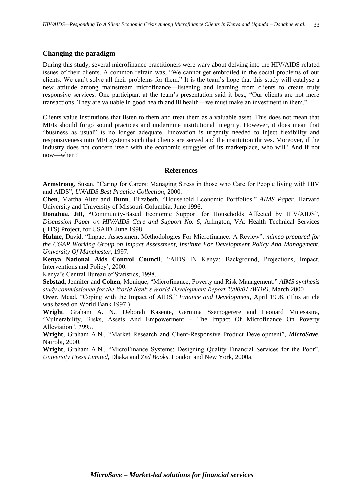### **Changing the paradigm**

During this study, several microfinance practitioners were wary about delving into the HIV/AIDS related issues of their clients. A common refrain was, "We cannot get embroiled in the social problems of our clients. We can't solve all their problems for them." It is the team's hope that this study will catalyse a new attitude among mainstream microfinance—listening and learning from clients to create truly responsive services. One participant at the team's presentation said it best, "Our clients are not mere transactions. They are valuable in good health and ill health—we must make an investment in them."

Clients value institutions that listen to them and treat them as a valuable asset. This does not mean that MFIs should forgo sound practices and undermine institutional integrity. However, it does mean that "business as usual" is no longer adequate. Innovation is urgently needed to inject flexibility and responsiveness into MFI systems such that clients are served and the institution thrives. Moreover, if the industry does not concern itself with the economic struggles of its marketplace, who will? And if not now—when?

#### **References**

<span id="page-39-0"></span>**Armstrong**, Susan, "Caring for Carers: Managing Stress in those who Care for People living with HIV and AIDS", *UNAIDS Best Practice Collection*, 2000.

**Chen**, Martha Alter and **Dunn**, Elizabeth, "Household Economic Portfolios." *AIMS Paper.* Harvard University and University of Missouri-Columbia, June 1996.

**Donahue, Jill, "**Community-Based Economic Support for Households Affected by HIV/AIDS", *Discussion Paper on HIV/AIDS Care and Support No. 6,* Arlington, VA: Health Technical Services (HTS) Project, for USAID, June 1998.

**Hulme**, David, "Impact Assessment Methodologies For Microfinance: A Review", *mimeo prepared for the CGAP Working Group on Impact Assessment, Institute For Development Policy And Management, University Of Manchester*, 1997.

**Kenya National Aids Control Council**, "AIDS IN Kenya: Background, Projections, Impact, Interventions and Policy', 2000.

Kenya's Central Bureau of Statistics, 1998.

**Sebstad**, Jennifer and **Cohen**, Monique, "Microfinance, Poverty and Risk Management." *AIMS* s*ynthesis study commissioned for the World Bank's World Development Report 2000/01 (WDR)*. March 2000

**Over**, Mead, "Coping with the Impact of AIDS," *Finance and Development,* April 1998. (This article was based on World Bank 1997.)

**Wright**, Graham A. N., Deborah Kasente, Germina Ssemogerere and Leonard Mutesasira, "Vulnerability, Risks, Assets And Empowerment – The Impact Of Microfinance On Poverty Alleviation", *1999*.

**Wright**, Graham A.N., "Market Research and Client-Responsive Product Development", *MicroSave*, Nairobi, 2000.

**Wright**, Graham A.N., "MicroFinance Systems: Designing Quality Financial Services for the Poor", *University Press Limited*, Dhaka and *Zed Books*, London and New York, 2000a.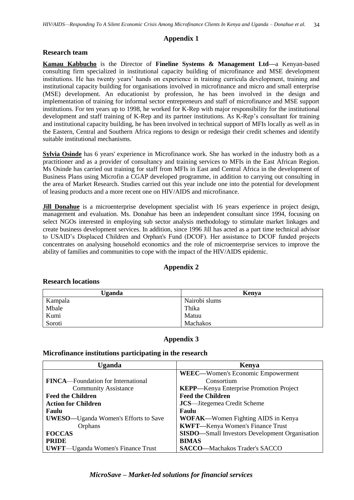# **Appendix 1**

### <span id="page-40-0"></span>**Research team**

**Kamau Kabbucho** is the Director of **Fineline Systems & Management Ltd—**a Kenyan-based consulting firm specialized in institutional capacity building of microfinance and MSE development institutions. He has twenty years' hands on experience in training curricula development, training and institutional capacity building for organisations involved in microfinance and micro and small enterprise (MSE) development. An educationist by profession, he has been involved in the design and implementation of training for informal sector entrepreneurs and staff of microfinance and MSE support institutions. For ten years up to 1998, he worked for K-Rep with major responsibility for the institutional development and staff training of K-Rep and its partner institutions. As K-Rep's consultant for training and institutional capacity building, he has been involved in technical support of MFIs locally as well as in the Eastern, Central and Southern Africa regions to design or redesign their credit schemes and identify suitable institutional mechanisms.

**Sylvia Osinde** has 6 years' experience in Microfinance work. She has worked in the industry both as a practitioner and as a provider of consultancy and training services to MFIs in the East African Region. Ms Osinde has carried out training for staff from MFIs in East and Central Africa in the development of Business Plans using Microfin a CGAP developed programme, in addition to carrying out consulting in the area of Market Research. Studies carried out this year include one into the potential for development of leasing products and a more recent one on HIV/AIDS and microfinance.

**Jill Donahue** is a microenterprise development specialist with 16 years experience in project design, management and evaluation. Ms. Donahue has been an independent consultant since 1994, focusing on select NGOs interested in employing sub sector analysis methodology to stimulate market linkages and create business development services. In addition, since 1996 Jill has acted as a part time technical advisor to USAID's Displaced Children and Orphan's Fund (DCOF). Her assistance to DCOF funded projects concentrates on analysing household economics and the role of microenterprise services to improve the ability of families and communities to cope with the impact of the HIV/AIDS epidemic.

# **Appendix 2**

| <b>Uganda</b> | Kenva         |  |
|---------------|---------------|--|
| Kampala       | Nairobi slums |  |
| Mbale         | Thika         |  |
| Kumi          | Matuu         |  |
| Soroti        | Machakos      |  |

# <span id="page-40-1"></span>**Research locations**

# **Appendix 3**

#### <span id="page-40-2"></span>**Microfinance institutions participating in the research**

| Uganda<br>Kenya                             |                                                        |
|---------------------------------------------|--------------------------------------------------------|
|                                             | <b>WEEC—Women's Economic Empowerment</b>               |
| <b>FINCA</b> —Foundation for International  | Consortium                                             |
| <b>Community Assistance</b>                 | <b>KEPP—Kenya Enterprise Promotion Project</b>         |
| <b>Feed the Children</b>                    | <b>Feed the Children</b>                               |
| <b>Action for Children</b>                  | <b>JCS</b> —Jitegemea Credit Scheme                    |
| Faulu                                       | <b>Faulu</b>                                           |
| <b>UWESO—Uganda Women's Efforts to Save</b> | <b>WOFAK—Women Fighting AIDS in Kenya</b>              |
| Orphans                                     | <b>KWFT</b> —Kenya Women's Finance Trust               |
| <b>FOCCAS</b>                               | <b>SISDO</b> —Small Investors Development Organisation |
| <b>PRIDE</b>                                | <b>BIMAS</b>                                           |
| <b>UWFT—Uganda Women's Finance Trust</b>    | <b>SACCO—Machakos Trader's SACCO</b>                   |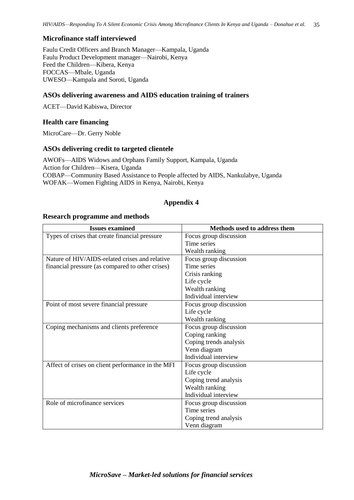# **Microfinance staff interviewed**

Faulu Credit Officers and Branch Manager—Kampala, Uganda Faulu Product Development manager—Nairobi, Kenya Feed the Children—Kibera, Kenya FOCCAS—Mbale, Uganda UWESO—Kampala and Soroti, Uganda

# **ASOs delivering awareness and AIDS education training of trainers**

ACET—David Kabiswa, Director

# **Health care financing**

MicroCare—Dr. Gerry Noble

# **ASOs delivering credit to targeted clientele**

AWOFs—AIDS Widows and Orphans Family Support, Kampala, Uganda Action for Children—Kisera, Uganda COBAP—Community Based Assistance to People affected by AIDS, Nankulabye, Uganda WOFAK—Women Fighting AIDS in Kenya, Nairobi, Kenya

# **Appendix 4**

#### <span id="page-41-0"></span>**Research programme and methods**

| <b>Issues examined</b>                            | Methods used to address them |
|---------------------------------------------------|------------------------------|
| Types of crises that create financial pressure    | Focus group discussion       |
|                                                   | Time series                  |
|                                                   | Wealth ranking               |
| Nature of HIV/AIDS-related crises and relative    | Focus group discussion       |
| financial pressure (as compared to other crises)  | Time series                  |
|                                                   | Crisis ranking               |
|                                                   | Life cycle                   |
|                                                   | Wealth ranking               |
|                                                   | Individual interview         |
| Point of most severe financial pressure           | Focus group discussion       |
|                                                   | Life cycle                   |
|                                                   | Wealth ranking               |
| Coping mechanisms and clients preference          | Focus group discussion       |
|                                                   | Coping ranking               |
|                                                   | Coping trends analysis       |
|                                                   | Venn diagram                 |
|                                                   | Individual interview         |
| Affect of crises on client performance in the MFI | Focus group discussion       |
|                                                   | Life cycle                   |
|                                                   | Coping trend analysis        |
|                                                   | Wealth ranking               |
|                                                   | Individual interview         |
| Role of microfinance services                     | Focus group discussion       |
|                                                   | Time series                  |
|                                                   | Coping trend analysis        |
|                                                   | Venn diagram                 |